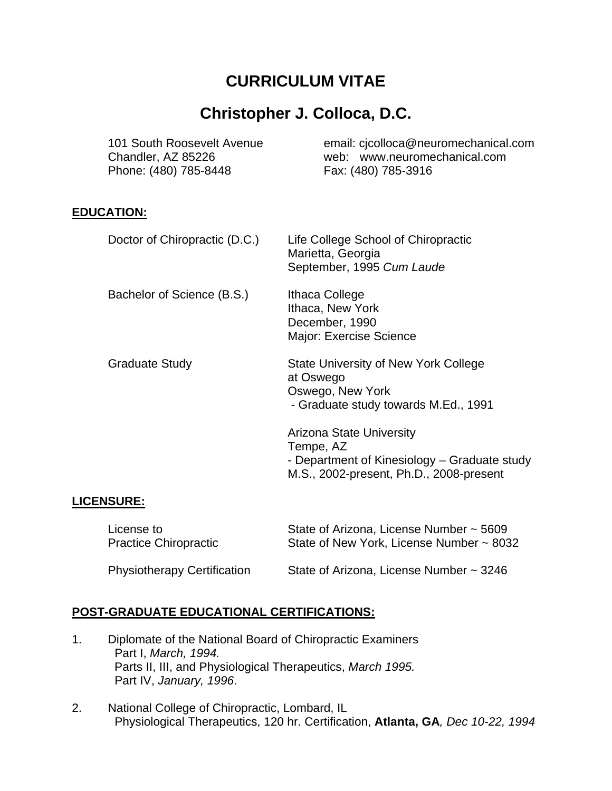# **CURRICULUM VITAE**

# **Christopher J. Colloca, D.C.**

| 101 South Roosevelt Avenue<br>Chandler, AZ 85226<br>Phone: (480) 785-8448 | email: cjcolloca@neuromechanical.com<br>web: www.neuromechanical.com<br>Fax: (480) 785-3916 |
|---------------------------------------------------------------------------|---------------------------------------------------------------------------------------------|
| <b>EDUCATION:</b>                                                         |                                                                                             |
| Doctor of Chiropractic (D.C.)                                             | Life College School of Chiropractic<br>Marietta, Georgia<br>September, 1995 Cum Laude       |
| Bachelor of Science (B.S.)                                                | Ithaca College<br>Ithaca, New York<br>December, 1990<br>Major: Exercise Science             |
| <b>Graduate Study</b>                                                     | <b>State University of New York College</b><br>at Oswego<br>Oswego, New York                |

- Graduate study towards M.Ed., 1991

Arizona State University Tempe, AZ - Department of Kinesiology – Graduate study M.S., 2002-present, Ph.D., 2008-present

# **LICENSURE:**

| License to                         | State of Arizona, License Number ~ 5609  |
|------------------------------------|------------------------------------------|
| <b>Practice Chiropractic</b>       | State of New York, License Number ~ 8032 |
| <b>Physiotherapy Certification</b> | State of Arizona, License Number ~ 3246  |

# **POST-GRADUATE EDUCATIONAL CERTIFICATIONS:**

- 1. Diplomate of the National Board of Chiropractic Examiners Part I, *March, 1994.* Parts II, III, and Physiological Therapeutics, *March 1995.* Part IV, *January, 1996*.
- 2. National College of Chiropractic, Lombard, IL Physiological Therapeutics, 120 hr. Certification, **Atlanta, GA***, Dec 10-22, 1994*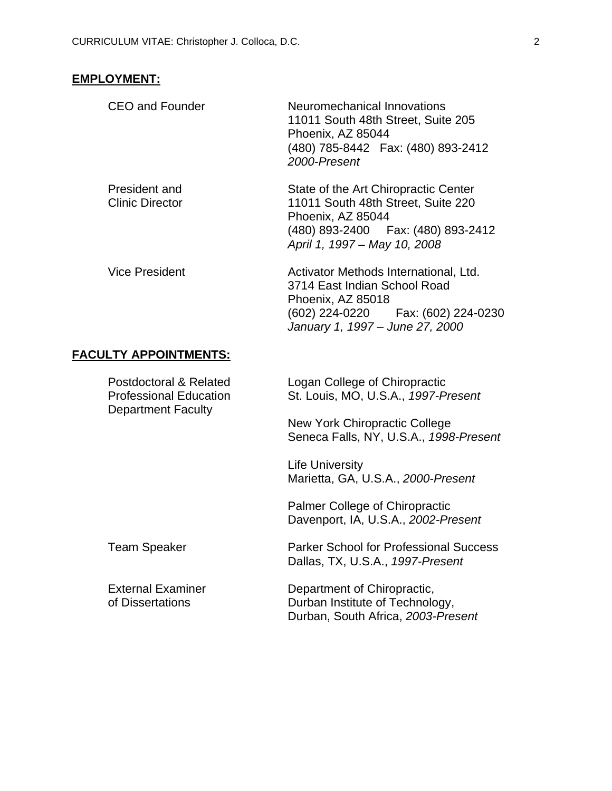# **EMPLOYMENT:**

| <b>CEO and Founder</b>                                                               | Neuromechanical Innovations<br>11011 South 48th Street, Suite 205<br>Phoenix, AZ 85044<br>(480) 785-8442  Fax: (480) 893-2412<br>2000-Present                          |
|--------------------------------------------------------------------------------------|------------------------------------------------------------------------------------------------------------------------------------------------------------------------|
| President and<br><b>Clinic Director</b>                                              | State of the Art Chiropractic Center<br>11011 South 48th Street, Suite 220<br>Phoenix, AZ 85044<br>(480) 893-2400  Fax: (480) 893-2412<br>April 1, 1997 - May 10, 2008 |
| <b>Vice President</b>                                                                | Activator Methods International, Ltd.<br>3714 East Indian School Road<br>Phoenix, AZ 85018<br>(602) 224-0220   Fax: (602) 224-0230<br>January 1, 1997 - June 27, 2000  |
| <b>FACULTY APPOINTMENTS:</b>                                                         |                                                                                                                                                                        |
| Postdoctoral & Related<br><b>Professional Education</b><br><b>Department Faculty</b> | Logan College of Chiropractic<br>St. Louis, MO, U.S.A., 1997-Present                                                                                                   |
|                                                                                      | <b>New York Chiropractic College</b><br>Seneca Falls, NY, U.S.A., 1998-Present                                                                                         |
|                                                                                      | <b>Life University</b><br>Marietta, GA, U.S.A., 2000-Present                                                                                                           |
|                                                                                      | <b>Palmer College of Chiropractic</b><br>Davenport, IA, U.S.A., 2002-Present                                                                                           |
| <b>Team Speaker</b>                                                                  | <b>Parker School for Professional Success</b><br>Dallas, TX, U.S.A., 1997-Present                                                                                      |
| <b>External Examiner</b><br>of Dissertations                                         | Department of Chiropractic,<br>Durban Institute of Technology,<br>Durban, South Africa, 2003-Present                                                                   |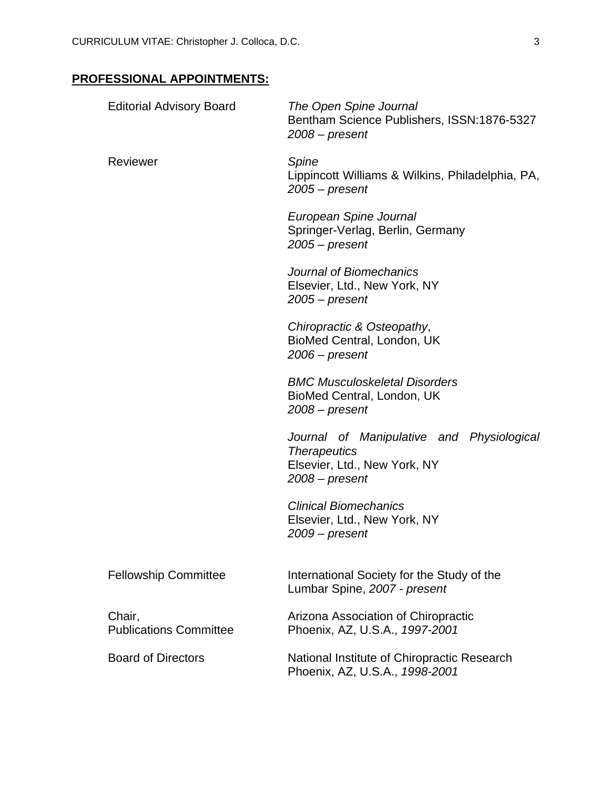# **PROFESSIONAL APPOINTMENTS:**

| <b>Editorial Advisory Board</b>         | The Open Spine Journal<br>Bentham Science Publishers, ISSN:1876-5327<br>$2008$ – present                             |
|-----------------------------------------|----------------------------------------------------------------------------------------------------------------------|
| Reviewer                                | Spine<br>Lippincott Williams & Wilkins, Philadelphia, PA,<br>$2005$ – present                                        |
|                                         | European Spine Journal<br>Springer-Verlag, Berlin, Germany<br>$2005$ – present                                       |
|                                         | Journal of Biomechanics<br>Elsevier, Ltd., New York, NY<br>$2005$ – present                                          |
|                                         | Chiropractic & Osteopathy,<br>BioMed Central, London, UK<br>$2006$ – present                                         |
|                                         | <b>BMC Musculoskeletal Disorders</b><br>BioMed Central, London, UK<br>$2008$ – present                               |
|                                         | Journal of Manipulative and Physiological<br><b>Therapeutics</b><br>Elsevier, Ltd., New York, NY<br>$2008$ – present |
|                                         | <b>Clinical Biomechanics</b><br>Elsevier, Ltd., New York, NY<br>$2009$ – present                                     |
| <b>Fellowship Committee</b>             | International Society for the Study of the<br>Lumbar Spine, 2007 - present                                           |
| Chair,<br><b>Publications Committee</b> | Arizona Association of Chiropractic<br>Phoenix, AZ, U.S.A., 1997-2001                                                |
| <b>Board of Directors</b>               | National Institute of Chiropractic Research<br>Phoenix, AZ, U.S.A., 1998-2001                                        |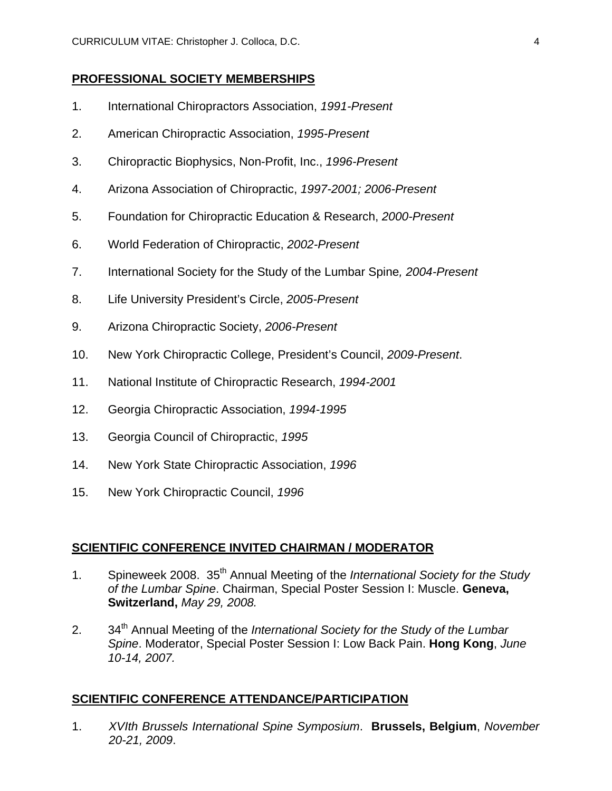#### **PROFESSIONAL SOCIETY MEMBERSHIPS**

- 1. International Chiropractors Association, *1991-Present*
- 2. American Chiropractic Association, *1995-Present*
- 3. Chiropractic Biophysics, Non-Profit, Inc., *1996-Present*
- 4. Arizona Association of Chiropractic, *1997-2001; 2006-Present*
- 5. Foundation for Chiropractic Education & Research, *2000-Present*
- 6. World Federation of Chiropractic, *2002-Present*
- 7. International Society for the Study of the Lumbar Spine*, 2004-Present*
- 8. Life University President's Circle, *2005-Present*
- 9. Arizona Chiropractic Society, *2006-Present*
- 10. New York Chiropractic College, President's Council, *2009-Present*.
- 11. National Institute of Chiropractic Research, *1994-2001*
- 12. Georgia Chiropractic Association, *1994-1995*
- 13. Georgia Council of Chiropractic, *1995*
- 14. New York State Chiropractic Association, *1996*
- 15. New York Chiropractic Council, *1996*

#### **SCIENTIFIC CONFERENCE INVITED CHAIRMAN / MODERATOR**

- 1. Spineweek 2008. 35th Annual Meeting of the *International Society for the Study of the Lumbar Spine*. Chairman, Special Poster Session I: Muscle. **Geneva, Switzerland,** *May 29, 2008.*
- 2. 34<sup>th</sup> Annual Meeting of the *International Society for the Study of the Lumbar Spine*. Moderator, Special Poster Session I: Low Back Pain. **Hong Kong**, *June 10-14, 2007.*

#### **SCIENTIFIC CONFERENCE ATTENDANCE/PARTICIPATION**

1. *XVIth Brussels International Spine Symposium*. **Brussels, Belgium**, *November 20-21, 2009*.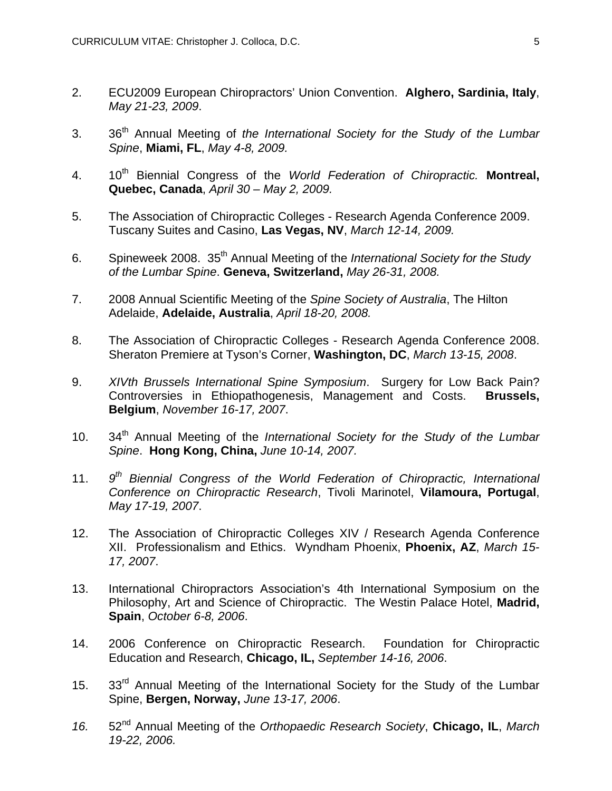- 2. ECU2009 European Chiropractors' Union Convention. **Alghero, Sardinia, Italy**, *May 21-23, 2009*.
- 3. 36th Annual Meeting of *the International Society for the Study of the Lumbar Spine*, **Miami, FL**, *May 4-8, 2009.*
- 4. 10<sup>th</sup> Biennial Congress of the *World Federation of Chiropractic*. Montreal, **Quebec, Canada**, *April 30 – May 2, 2009.*
- 5. The Association of Chiropractic Colleges Research Agenda Conference 2009. Tuscany Suites and Casino, **Las Vegas, NV**, *March 12-14, 2009.*
- 6. Spineweek 2008. 35th Annual Meeting of the *International Society for the Study of the Lumbar Spine*. **Geneva, Switzerland,** *May 26-31, 2008.*
- 7. 2008 Annual Scientific Meeting of the *Spine Society of Australia*, The Hilton Adelaide, **Adelaide, Australia**, *April 18-20, 2008.*
- 8. The Association of Chiropractic Colleges Research Agenda Conference 2008. Sheraton Premiere at Tyson's Corner, **Washington, DC**, *March 13-15, 2008*.
- 9. *XIVth Brussels International Spine Symposium*. Surgery for Low Back Pain? Controversies in Ethiopathogenesis, Management and Costs. **Brussels, Belgium**, *November 16-17, 2007*.
- 10. 34th Annual Meeting of the *International Society for the Study of the Lumbar Spine*. **Hong Kong, China,** *June 10-14, 2007.*
- 11. *9th Biennial Congress of the World Federation of Chiropractic, International Conference on Chiropractic Research*, Tivoli Marinotel, **Vilamoura, Portugal**, *May 17-19, 2007*.
- 12. The Association of Chiropractic Colleges XIV / Research Agenda Conference XII. Professionalism and Ethics. Wyndham Phoenix, **Phoenix, AZ**, *March 15- 17, 2007*.
- 13. International Chiropractors Association's 4th International Symposium on the Philosophy, Art and Science of Chiropractic. The Westin Palace Hotel, **Madrid, Spain**, *October 6-8, 2006*.
- 14. 2006 Conference on Chiropractic Research. Foundation for Chiropractic Education and Research, **Chicago, IL,** *September 14-16, 2006*.
- 15. 33<sup>rd</sup> Annual Meeting of the International Society for the Study of the Lumbar Spine, **Bergen, Norway,** *June 13-17, 2006*.
- *16.* 52nd Annual Meeting of the *Orthopaedic Research Society*, **Chicago, IL**, *March 19-22, 2006.*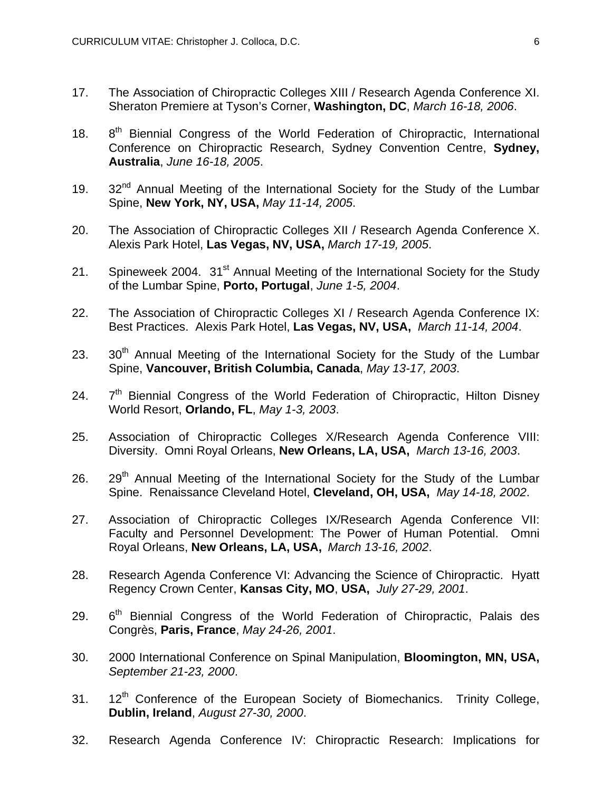- 17. The Association of Chiropractic Colleges XIII / Research Agenda Conference XI. Sheraton Premiere at Tyson's Corner, **Washington, DC**, *March 16-18, 2006*.
- 18. 8<sup>th</sup> Biennial Congress of the World Federation of Chiropractic, International Conference on Chiropractic Research, Sydney Convention Centre, **Sydney, Australia**, *June 16-18, 2005*.
- 19. 32<sup>nd</sup> Annual Meeting of the International Society for the Study of the Lumbar Spine, **New York, NY, USA,** *May 11-14, 2005*.
- 20. The Association of Chiropractic Colleges XII / Research Agenda Conference X. Alexis Park Hotel, **Las Vegas, NV, USA,** *March 17-19, 2005*.
- 21. Spineweek 2004. 31<sup>st</sup> Annual Meeting of the International Society for the Study of the Lumbar Spine, **Porto, Portugal**, *June 1-5, 2004*.
- 22. The Association of Chiropractic Colleges XI / Research Agenda Conference IX: Best Practices. Alexis Park Hotel, **Las Vegas, NV, USA,** *March 11-14, 2004*.
- 23.  $30<sup>th</sup>$  Annual Meeting of the International Society for the Study of the Lumbar Spine, **Vancouver, British Columbia, Canada**, *May 13-17, 2003*.
- $24.$   $7<sup>th</sup>$  Biennial Congress of the World Federation of Chiropractic, Hilton Disney World Resort, **Orlando, FL**, *May 1-3, 2003*.
- 25. Association of Chiropractic Colleges X/Research Agenda Conference VIII: Diversity. Omni Royal Orleans, **New Orleans, LA, USA,** *March 13-16, 2003*.
- 26.  $29<sup>th</sup>$  Annual Meeting of the International Society for the Study of the Lumbar Spine. Renaissance Cleveland Hotel, **Cleveland, OH, USA,** *May 14-18, 2002*.
- 27. Association of Chiropractic Colleges IX/Research Agenda Conference VII: Faculty and Personnel Development: The Power of Human Potential. Omni Royal Orleans, **New Orleans, LA, USA,** *March 13-16, 2002*.
- 28. Research Agenda Conference VI: Advancing the Science of Chiropractic. Hyatt Regency Crown Center, **Kansas City, MO**, **USA,** *July 27-29, 2001*.
- $29.$  6<sup>th</sup> Biennial Congress of the World Federation of Chiropractic, Palais des Congrès, **Paris, France**, *May 24-26, 2001*.
- 30. 2000 International Conference on Spinal Manipulation, **Bloomington, MN, USA,** *September 21-23, 2000*.
- 31. 12<sup>th</sup> Conference of the European Society of Biomechanics. Trinity College, **Dublin, Ireland**, *August 27-30, 2000*.
- 32. Research Agenda Conference IV: Chiropractic Research: Implications for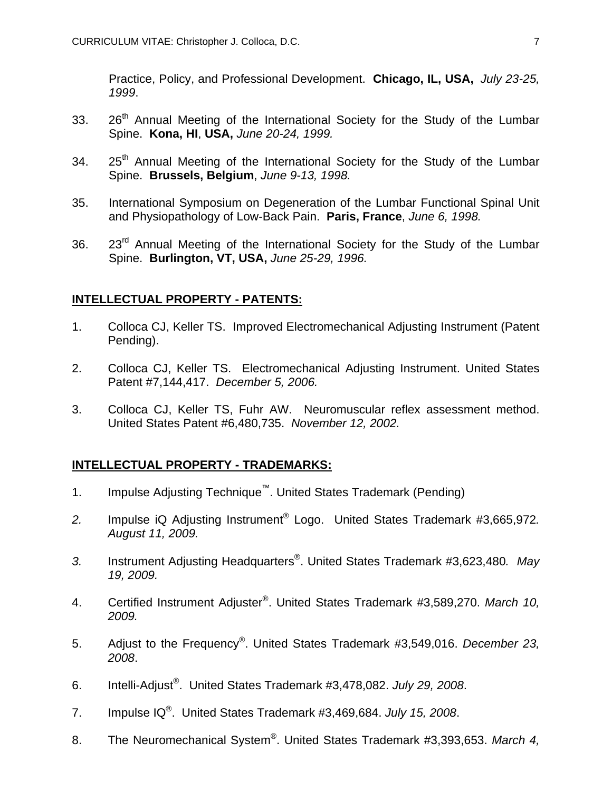Practice, Policy, and Professional Development. **Chicago, IL, USA,** *July 23-25, 1999*.

- 33. 26<sup>th</sup> Annual Meeting of the International Society for the Study of the Lumbar Spine. **Kona, HI**, **USA,** *June 20-24, 1999.*
- 34. 25<sup>th</sup> Annual Meeting of the International Society for the Study of the Lumbar Spine. **Brussels, Belgium**, *June 9-13, 1998.*
- 35. International Symposium on Degeneration of the Lumbar Functional Spinal Unit and Physiopathology of Low-Back Pain. **Paris, France**, *June 6, 1998.*
- 36. 23<sup>rd</sup> Annual Meeting of the International Society for the Study of the Lumbar Spine. **Burlington, VT, USA,** *June 25-29, 1996.*

## **INTELLECTUAL PROPERTY - PATENTS:**

- 1. Colloca CJ, Keller TS. Improved Electromechanical Adjusting Instrument (Patent Pending).
- 2. Colloca CJ, Keller TS. Electromechanical Adjusting Instrument. United States Patent #7,144,417. *December 5, 2006.*
- 3. Colloca CJ, Keller TS, Fuhr AW. Neuromuscular reflex assessment method. United States Patent #6,480,735. *November 12, 2002.*

# **INTELLECTUAL PROPERTY - TRADEMARKS:**

- 1. Impulse Adjusting Technique™. United States Trademark (Pending)
- *2.* Impulse iQ Adjusting Instrument® Logo. United States Trademark #3,665,972*. August 11, 2009.*
- *3.* Instrument Adjusting Headquarters®. United States Trademark #3,623,480*. May 19, 2009.*
- 4. Certified Instrument Adjuster®. United States Trademark #3,589,270. *March 10, 2009.*
- 5. Adjust to the Frequency®. United States Trademark #3,549,016. *December 23, 2008*.
- 6. Intelli-Adjust®. United States Trademark #3,478,082. *July 29, 2008*.
- 7. Impulse IQ®. United States Trademark #3,469,684. *July 15, 2008*.
- 8. The Neuromechanical System®. United States Trademark #3,393,653. *March 4,*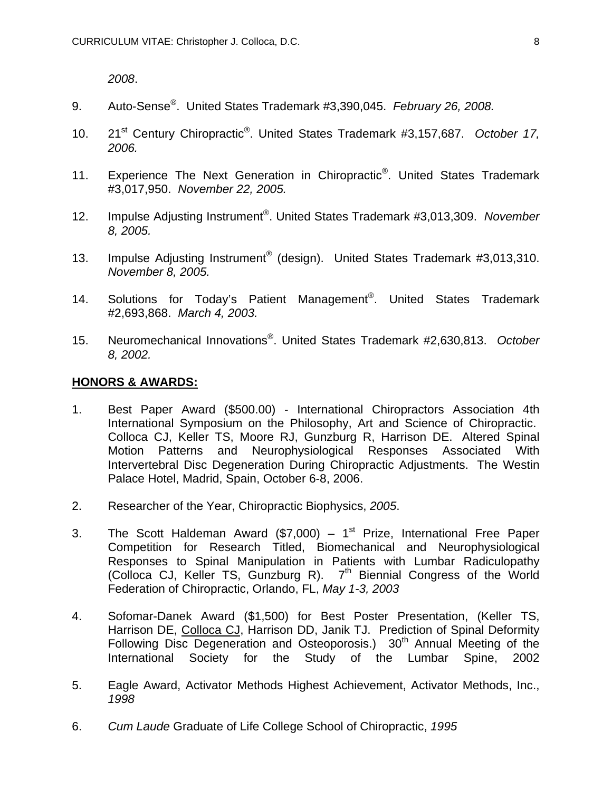*2008*.

- 9. Auto-Sense®. United States Trademark #3,390,045. *February 26, 2008.*
- 10. 21st Century Chiropractic®. United States Trademark #3,157,687. *October 17, 2006.*
- 11. Experience The Next Generation in Chiropractic<sup>®</sup>. United States Trademark #3,017,950. *November 22, 2005.*
- 12. Impulse Adjusting Instrument®. United States Trademark #3,013,309. *November 8, 2005.*
- 13. Impulse Adjusting Instrument<sup>®</sup> (design). United States Trademark #3,013,310. *November 8, 2005.*
- 14. Solutions for Today's Patient Management®. United States Trademark #2,693,868. *March 4, 2003.*
- 15. Neuromechanical Innovations®. United States Trademark #2,630,813. *October 8, 2002.*

#### **HONORS & AWARDS:**

- 1. Best Paper Award (\$500.00) International Chiropractors Association 4th International Symposium on the Philosophy, Art and Science of Chiropractic. Colloca CJ, Keller TS, Moore RJ, Gunzburg R, Harrison DE. Altered Spinal Motion Patterns and Neurophysiological Responses Associated With Intervertebral Disc Degeneration During Chiropractic Adjustments. The Westin Palace Hotel, Madrid, Spain, October 6-8, 2006.
- 2. Researcher of the Year, Chiropractic Biophysics, *2005*.
- 3. The Scott Haldeman Award (\$7,000)  $1<sup>st</sup>$  Prize, International Free Paper Competition for Research Titled, Biomechanical and Neurophysiological Responses to Spinal Manipulation in Patients with Lumbar Radiculopathy (Colloca CJ, Keller TS, Gunzburg R). 7<sup>th</sup> Biennial Congress of the World Federation of Chiropractic, Orlando, FL, *May 1-3, 2003*
- 4. Sofomar-Danek Award (\$1,500) for Best Poster Presentation, (Keller TS, Harrison DE, Colloca CJ, Harrison DD, Janik TJ. Prediction of Spinal Deformity Following Disc Degeneration and Osteoporosis.) 30<sup>th</sup> Annual Meeting of the International Society for the Study of the Lumbar Spine, 2002
- 5. Eagle Award, Activator Methods Highest Achievement, Activator Methods, Inc., *1998*
- 6. *Cum Laude* Graduate of Life College School of Chiropractic, *1995*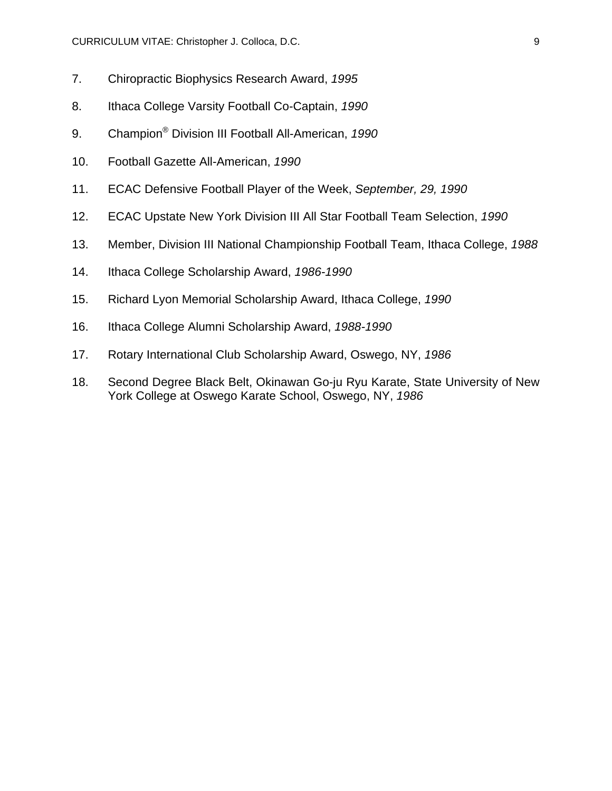- 7. Chiropractic Biophysics Research Award, *1995*
- 8. Ithaca College Varsity Football Co-Captain, *1990*
- 9. Champion® Division III Football All-American, *1990*
- 10. Football Gazette All-American, *1990*
- 11. ECAC Defensive Football Player of the Week, *September, 29, 1990*
- 12. ECAC Upstate New York Division III All Star Football Team Selection, *1990*
- 13. Member, Division III National Championship Football Team, Ithaca College, *1988*
- 14. Ithaca College Scholarship Award, *1986-1990*
- 15. Richard Lyon Memorial Scholarship Award, Ithaca College, *1990*
- 16. Ithaca College Alumni Scholarship Award, *1988-1990*
- 17. Rotary International Club Scholarship Award, Oswego, NY, *1986*
- 18. Second Degree Black Belt, Okinawan Go-ju Ryu Karate, State University of New York College at Oswego Karate School, Oswego, NY, *1986*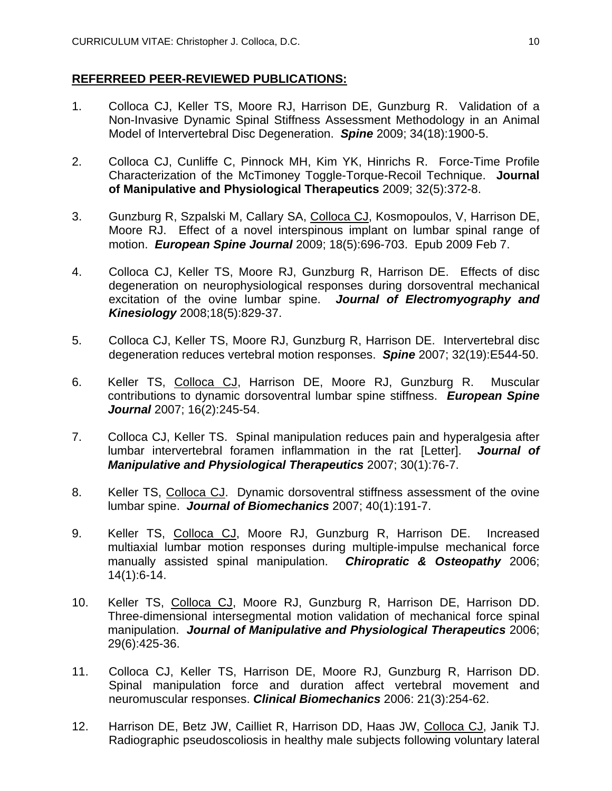## **REFERREED PEER-REVIEWED PUBLICATIONS:**

- 1. Colloca CJ, Keller TS, Moore RJ, Harrison DE, Gunzburg R. Validation of a Non-Invasive Dynamic Spinal Stiffness Assessment Methodology in an Animal Model of Intervertebral Disc Degeneration. *Spine* 2009; 34(18):1900-5.
- 2. Colloca CJ, Cunliffe C, Pinnock MH, Kim YK, Hinrichs R. Force-Time Profile Characterization of the McTimoney Toggle-Torque-Recoil Technique. **Journal of Manipulative and Physiological Therapeutics** 2009; 32(5):372-8.
- 3. Gunzburg R, Szpalski M, Callary SA, Colloca CJ, Kosmopoulos, V, Harrison DE, Moore RJ. Effect of a novel interspinous implant on lumbar spinal range of motion. *European Spine Journal* 2009; 18(5):696-703. Epub 2009 Feb 7.
- 4. Colloca CJ, Keller TS, Moore RJ, Gunzburg R, Harrison DE. Effects of disc degeneration on neurophysiological responses during dorsoventral mechanical excitation of the ovine lumbar spine. *Journal of Electromyography and Kinesiology* 2008;18(5):829-37.
- 5. Colloca CJ, Keller TS, Moore RJ, Gunzburg R, Harrison DE. Intervertebral disc degeneration reduces vertebral motion responses. *Spine* 2007; 32(19):E544-50.
- 6. Keller TS, Colloca CJ, Harrison DE, Moore RJ, Gunzburg R. Muscular contributions to dynamic dorsoventral lumbar spine stiffness. *European Spine Journal* 2007; 16(2):245-54.
- 7. Colloca CJ, Keller TS. Spinal manipulation reduces pain and hyperalgesia after lumbar intervertebral foramen inflammation in the rat [Letter]. *Journal of Manipulative and Physiological Therapeutics* 2007; 30(1):76-7.
- 8. Keller TS, Colloca CJ. Dynamic dorsoventral stiffness assessment of the ovine lumbar spine. *Journal of Biomechanics* 2007; 40(1):191-7.
- 9. Keller TS, Colloca CJ, Moore RJ, Gunzburg R, Harrison DE. Increased multiaxial lumbar motion responses during multiple-impulse mechanical force manually assisted spinal manipulation. *Chiropratic & Osteopathy* 2006; 14(1):6-14.
- 10. Keller TS, Colloca CJ, Moore RJ, Gunzburg R, Harrison DE, Harrison DD. Three-dimensional intersegmental motion validation of mechanical force spinal manipulation. *Journal of Manipulative and Physiological Therapeutics* 2006; 29(6):425-36.
- 11. Colloca CJ, Keller TS, Harrison DE, Moore RJ, Gunzburg R, Harrison DD. Spinal manipulation force and duration affect vertebral movement and neuromuscular responses. *Clinical Biomechanics* 2006: 21(3):254-62.
- 12. Harrison DE, Betz JW, Cailliet R, Harrison DD, Haas JW, Colloca CJ, Janik TJ. Radiographic pseudoscoliosis in healthy male subjects following voluntary lateral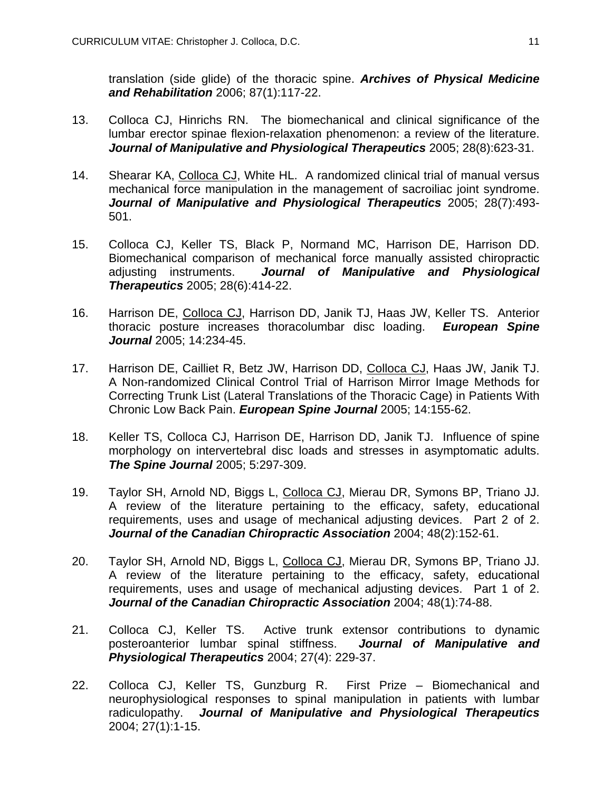translation (side glide) of the thoracic spine. *Archives of Physical Medicine and Rehabilitation* 2006; 87(1):117-22.

- 13. Colloca CJ, Hinrichs RN. The biomechanical and clinical significance of the lumbar erector spinae flexion-relaxation phenomenon: a review of the literature. *Journal of Manipulative and Physiological Therapeutics* 2005; 28(8):623-31.
- 14. Shearar KA, Colloca CJ, White HL. A randomized clinical trial of manual versus mechanical force manipulation in the management of sacroiliac joint syndrome. *Journal of Manipulative and Physiological Therapeutics* 2005; 28(7):493- 501.
- 15. Colloca CJ, Keller TS, Black P, Normand MC, Harrison DE, Harrison DD. Biomechanical comparison of mechanical force manually assisted chiropractic adjusting instruments. *Journal of Manipulative and Physiological Therapeutics* 2005; 28(6):414-22.
- 16. Harrison DE, Colloca CJ, Harrison DD, Janik TJ, Haas JW, Keller TS. Anterior thoracic posture increases thoracolumbar disc loading. *European Spine Journal* 2005; 14:234-45.
- 17. Harrison DE, Cailliet R, Betz JW, Harrison DD, Colloca CJ, Haas JW, Janik TJ. A Non-randomized Clinical Control Trial of Harrison Mirror Image Methods for Correcting Trunk List (Lateral Translations of the Thoracic Cage) in Patients With Chronic Low Back Pain. *European Spine Journal* 2005; 14:155-62.
- 18. Keller TS, Colloca CJ, Harrison DE, Harrison DD, Janik TJ. Influence of spine morphology on intervertebral disc loads and stresses in asymptomatic adults. *The Spine Journal* 2005; 5:297-309.
- 19. Taylor SH, Arnold ND, Biggs L, Colloca CJ, Mierau DR, Symons BP, Triano JJ. A review of the literature pertaining to the efficacy, safety, educational requirements, uses and usage of mechanical adjusting devices. Part 2 of 2. *Journal of the Canadian Chiropractic Association* 2004; 48(2):152-61.
- 20. Taylor SH, Arnold ND, Biggs L, Colloca CJ, Mierau DR, Symons BP, Triano JJ. A review of the literature pertaining to the efficacy, safety, educational requirements, uses and usage of mechanical adjusting devices. Part 1 of 2. *Journal of the Canadian Chiropractic Association* 2004; 48(1):74-88.
- 21. Colloca CJ, Keller TS. Active trunk extensor contributions to dynamic posteroanterior lumbar spinal stiffness. *Journal of Manipulative and Physiological Therapeutics* 2004; 27(4): 229-37.
- 22. Colloca CJ, Keller TS, Gunzburg R. First Prize Biomechanical and neurophysiological responses to spinal manipulation in patients with lumbar radiculopathy. *Journal of Manipulative and Physiological Therapeutics*  2004; 27(1):1-15.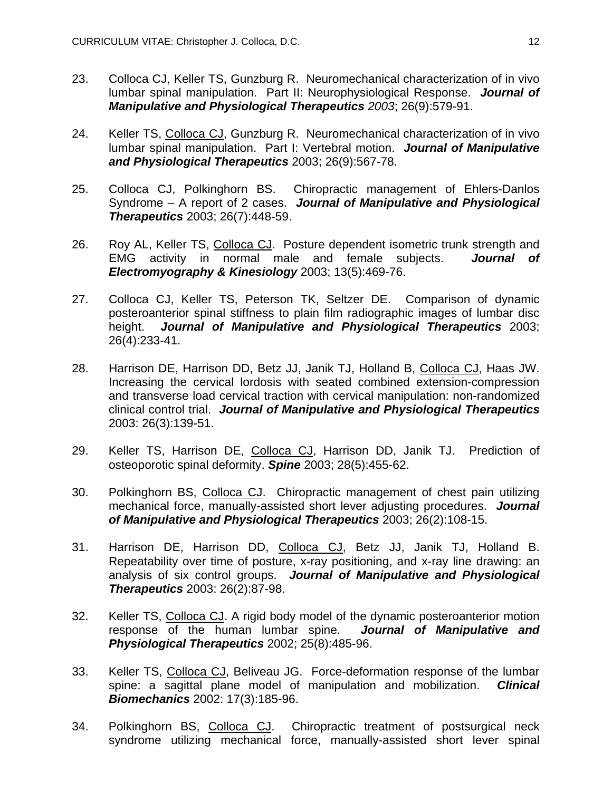- 23. Colloca CJ, Keller TS, Gunzburg R. Neuromechanical characterization of in vivo lumbar spinal manipulation. Part II: Neurophysiological Response. *Journal of Manipulative and Physiological Therapeutics 2003*; 26(9):579-91.
- 24. Keller TS, Colloca CJ, Gunzburg R. Neuromechanical characterization of in vivo lumbar spinal manipulation. Part I: Vertebral motion. *Journal of Manipulative and Physiological Therapeutics* 2003; 26(9):567-78.
- 25. Colloca CJ, Polkinghorn BS. Chiropractic management of Ehlers-Danlos Syndrome – A report of 2 cases. *Journal of Manipulative and Physiological Therapeutics* 2003; 26(7):448-59.
- 26. Roy AL, Keller TS, Colloca CJ. Posture dependent isometric trunk strength and EMG activity in normal male and female subjects. *Journal of Electromyography & Kinesiology* 2003; 13(5):469-76.
- 27. Colloca CJ, Keller TS, Peterson TK, Seltzer DE. Comparison of dynamic posteroanterior spinal stiffness to plain film radiographic images of lumbar disc height. *Journal of Manipulative and Physiological Therapeutics* 2003; 26(4):233-41.
- 28. Harrison DE, Harrison DD, Betz JJ, Janik TJ, Holland B, Colloca CJ, Haas JW. Increasing the cervical lordosis with seated combined extension-compression and transverse load cervical traction with cervical manipulation: non-randomized clinical control trial. *Journal of Manipulative and Physiological Therapeutics*  2003: 26(3):139-51.
- 29. Keller TS, Harrison DE, Colloca CJ, Harrison DD, Janik TJ. Prediction of osteoporotic spinal deformity. *Spine* 2003; 28(5):455-62.
- 30. Polkinghorn BS, Colloca CJ. Chiropractic management of chest pain utilizing mechanical force, manually-assisted short lever adjusting procedures. *Journal of Manipulative and Physiological Therapeutics* 2003; 26(2):108-15.
- 31. Harrison DE, Harrison DD, Colloca CJ, Betz JJ, Janik TJ, Holland B. Repeatability over time of posture, x-ray positioning, and x-ray line drawing: an analysis of six control groups. *Journal of Manipulative and Physiological Therapeutics* 2003: 26(2):87-98.
- 32. Keller TS, Colloca CJ. A rigid body model of the dynamic posteroanterior motion response of the human lumbar spine. *Journal of Manipulative and Physiological Therapeutics* 2002; 25(8):485-96.
- 33. Keller TS, Colloca CJ, Beliveau JG. Force-deformation response of the lumbar spine: a sagittal plane model of manipulation and mobilization. *Clinical Biomechanics* 2002: 17(3):185-96.
- 34. Polkinghorn BS, Colloca CJ. Chiropractic treatment of postsurgical neck syndrome utilizing mechanical force, manually-assisted short lever spinal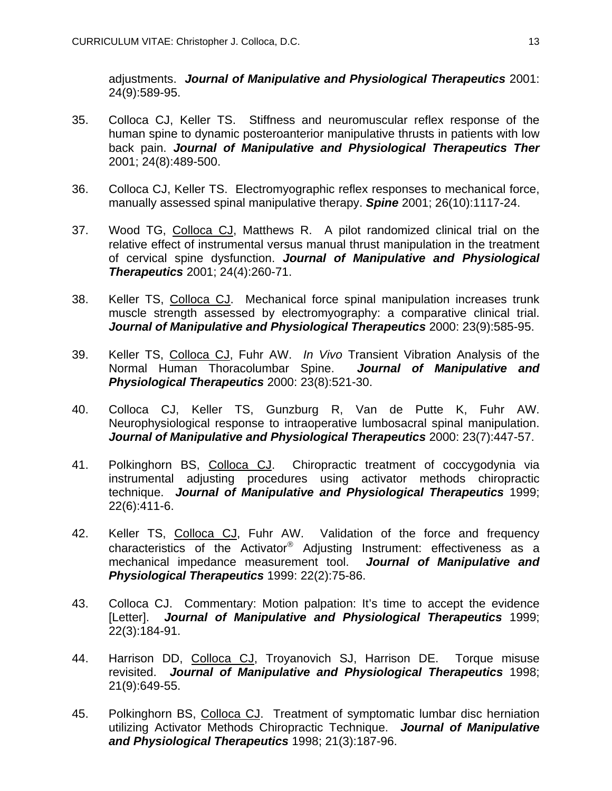adjustments. *Journal of Manipulative and Physiological Therapeutics* 2001: 24(9):589-95.

- 35. Colloca CJ, Keller TS. Stiffness and neuromuscular reflex response of the human spine to dynamic posteroanterior manipulative thrusts in patients with low back pain. *Journal of Manipulative and Physiological Therapeutics Ther* 2001; 24(8):489-500.
- 36. Colloca CJ, Keller TS. Electromyographic reflex responses to mechanical force, manually assessed spinal manipulative therapy. *Spine* 2001; 26(10):1117-24.
- 37. Wood TG, Colloca CJ, Matthews R. A pilot randomized clinical trial on the relative effect of instrumental versus manual thrust manipulation in the treatment of cervical spine dysfunction. *Journal of Manipulative and Physiological Therapeutics* 2001; 24(4):260-71.
- 38. Keller TS, Colloca CJ. Mechanical force spinal manipulation increases trunk muscle strength assessed by electromyography: a comparative clinical trial. *Journal of Manipulative and Physiological Therapeutics* 2000: 23(9):585-95.
- 39. Keller TS, Colloca CJ, Fuhr AW. *In Vivo* Transient Vibration Analysis of the Normal Human Thoracolumbar Spine. *Journal of Manipulative and Physiological Therapeutics* 2000: 23(8):521-30.
- 40. Colloca CJ, Keller TS, Gunzburg R, Van de Putte K, Fuhr AW. Neurophysiological response to intraoperative lumbosacral spinal manipulation. *Journal of Manipulative and Physiological Therapeutics* 2000: 23(7):447-57.
- 41. Polkinghorn BS, Colloca CJ. Chiropractic treatment of coccygodynia via instrumental adjusting procedures using activator methods chiropractic technique. *Journal of Manipulative and Physiological Therapeutics* 1999; 22(6):411-6.
- 42. Keller TS, Colloca CJ, Fuhr AW. Validation of the force and frequency characteristics of the Activator<sup>®</sup> Adjusting Instrument: effectiveness as a mechanical impedance measurement tool. *Journal of Manipulative and Physiological Therapeutics* 1999: 22(2):75-86.
- 43. Colloca CJ. Commentary: Motion palpation: It's time to accept the evidence [Letter]. *Journal of Manipulative and Physiological Therapeutics* 1999; 22(3):184-91.
- 44. Harrison DD, Colloca CJ, Troyanovich SJ, Harrison DE. Torque misuse revisited. *Journal of Manipulative and Physiological Therapeutics* 1998; 21(9):649-55.
- 45. Polkinghorn BS, Colloca CJ. Treatment of symptomatic lumbar disc herniation utilizing Activator Methods Chiropractic Technique. *Journal of Manipulative and Physiological Therapeutics* 1998; 21(3):187-96.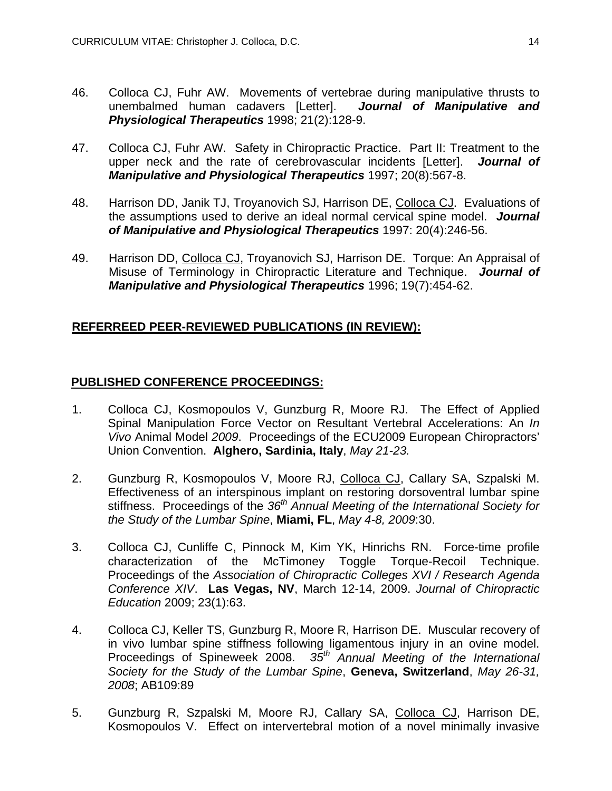- 46. Colloca CJ, Fuhr AW. Movements of vertebrae during manipulative thrusts to unembalmed human cadavers [Letter]. *Journal of Manipulative and Physiological Therapeutics* 1998; 21(2):128-9.
- 47. Colloca CJ, Fuhr AW. Safety in Chiropractic Practice. Part II: Treatment to the upper neck and the rate of cerebrovascular incidents [Letter]. *Journal of Manipulative and Physiological Therapeutics* 1997; 20(8):567-8.
- 48. Harrison DD, Janik TJ, Troyanovich SJ, Harrison DE, Colloca CJ. Evaluations of the assumptions used to derive an ideal normal cervical spine model. *Journal of Manipulative and Physiological Therapeutics* 1997: 20(4):246-56.
- 49. Harrison DD, Colloca CJ, Troyanovich SJ, Harrison DE. Torque: An Appraisal of Misuse of Terminology in Chiropractic Literature and Technique. *Journal of Manipulative and Physiological Therapeutics* 1996; 19(7):454-62.

# **REFERREED PEER-REVIEWED PUBLICATIONS (IN REVIEW):**

## **PUBLISHED CONFERENCE PROCEEDINGS:**

- 1. Colloca CJ, Kosmopoulos V, Gunzburg R, Moore RJ. The Effect of Applied Spinal Manipulation Force Vector on Resultant Vertebral Accelerations: An *In Vivo* Animal Model *2009*. Proceedings of the ECU2009 European Chiropractors' Union Convention. **Alghero, Sardinia, Italy**, *May 21-23.*
- 2. Gunzburg R, Kosmopoulos V, Moore RJ, Colloca CJ, Callary SA, Szpalski M. Effectiveness of an interspinous implant on restoring dorsoventral lumbar spine stiffness. Proceedings of the 36<sup>th</sup> Annual Meeting of the International Society for *the Study of the Lumbar Spine*, **Miami, FL**, *May 4-8, 2009*:30.
- 3. Colloca CJ, Cunliffe C, Pinnock M, Kim YK, Hinrichs RN. Force-time profile characterization of the McTimoney Toggle Torque-Recoil Technique. Proceedings of the *Association of Chiropractic Colleges XVI / Research Agenda Conference XIV*. **Las Vegas, NV**, March 12-14, 2009. *Journal of Chiropractic Education* 2009; 23(1):63.
- 4. Colloca CJ, Keller TS, Gunzburg R, Moore R, Harrison DE. Muscular recovery of in vivo lumbar spine stiffness following ligamentous injury in an ovine model. Proceedings of Spineweek 2008. *35th Annual Meeting of the International Society for the Study of the Lumbar Spine*, **Geneva, Switzerland**, *May 26-31, 2008*; AB109:89
- 5. Gunzburg R, Szpalski M, Moore RJ, Callary SA, Colloca CJ, Harrison DE, Kosmopoulos V. Effect on intervertebral motion of a novel minimally invasive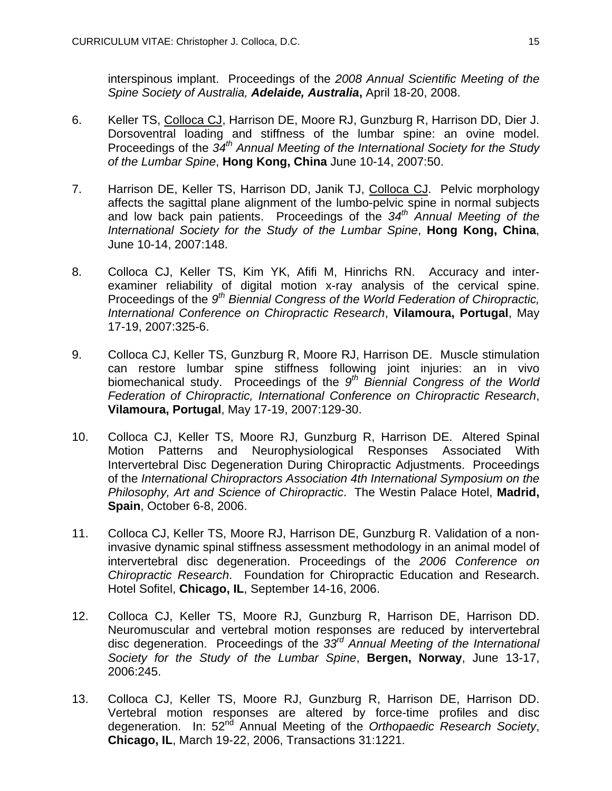interspinous implant. Proceedings of the *2008 Annual Scientific Meeting of the Spine Society of Australia, Adelaide, Australia***,** April 18-20, 2008.

- 6. Keller TS, Colloca CJ, Harrison DE, Moore RJ, Gunzburg R, Harrison DD, Dier J. Dorsoventral loading and stiffness of the lumbar spine: an ovine model. Proceedings of the  $34^{th}$  Annual Meeting of the International Society for the Study *of the Lumbar Spine*, **Hong Kong, China** June 10-14, 2007:50.
- 7. Harrison DE, Keller TS, Harrison DD, Janik TJ, Colloca CJ. Pelvic morphology affects the sagittal plane alignment of the lumbo-pelvic spine in normal subjects and low back pain patients. Proceedings of the *34th Annual Meeting of the International Society for the Study of the Lumbar Spine*, **Hong Kong, China**, June 10-14, 2007:148.
- 8. Colloca CJ, Keller TS, Kim YK, Afifi M, Hinrichs RN. Accuracy and interexaminer reliability of digital motion x-ray analysis of the cervical spine. Proceedings of the *9th Biennial Congress of the World Federation of Chiropractic, International Conference on Chiropractic Research*, **Vilamoura, Portugal**, May 17-19, 2007:325-6.
- 9. Colloca CJ, Keller TS, Gunzburg R, Moore RJ, Harrison DE. Muscle stimulation can restore lumbar spine stiffness following joint injuries: an in vivo biomechanical study. Proceedings of the *9th Biennial Congress of the World Federation of Chiropractic, International Conference on Chiropractic Research*, **Vilamoura, Portugal**, May 17-19, 2007:129-30.
- 10. Colloca CJ, Keller TS, Moore RJ, Gunzburg R, Harrison DE. Altered Spinal Motion Patterns and Neurophysiological Responses Associated With Intervertebral Disc Degeneration During Chiropractic Adjustments. Proceedings of the *International Chiropractors Association 4th International Symposium on the Philosophy, Art and Science of Chiropractic*. The Westin Palace Hotel, **Madrid, Spain**, October 6-8, 2006.
- 11. Colloca CJ, Keller TS, Moore RJ, Harrison DE, Gunzburg R. Validation of a noninvasive dynamic spinal stiffness assessment methodology in an animal model of intervertebral disc degeneration. Proceedings of the *2006 Conference on Chiropractic Research*. Foundation for Chiropractic Education and Research. Hotel Sofitel, **Chicago, IL**, September 14-16, 2006.
- 12. Colloca CJ, Keller TS, Moore RJ, Gunzburg R, Harrison DE, Harrison DD. Neuromuscular and vertebral motion responses are reduced by intervertebral disc degeneration. Proceedings of the *33rd Annual Meeting of the International Society for the Study of the Lumbar Spine*, **Bergen, Norway**, June 13-17, 2006:245.
- 13. Colloca CJ, Keller TS, Moore RJ, Gunzburg R, Harrison DE, Harrison DD. Vertebral motion responses are altered by force-time profiles and disc degeneration. In: 52<sup>nd</sup> Annual Meeting of the *Orthopaedic Research Society*, **Chicago, IL**, March 19-22, 2006, Transactions 31:1221.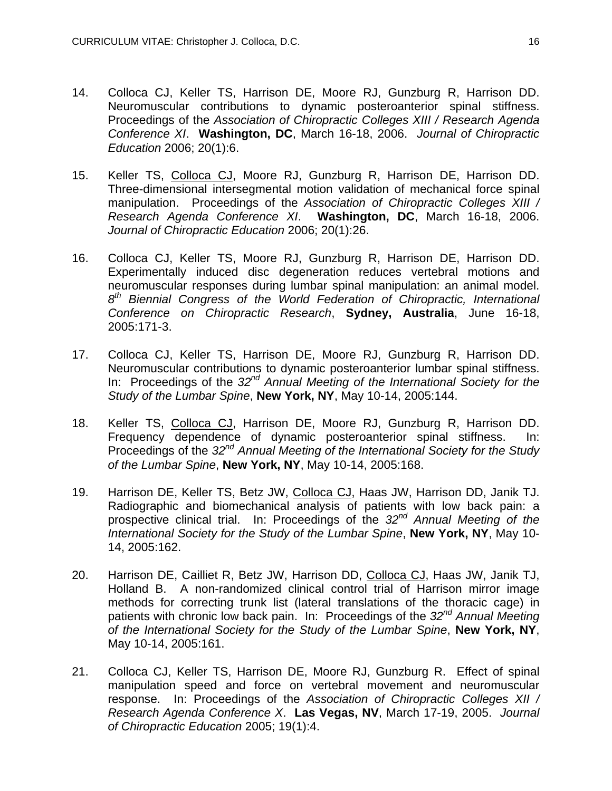- 14. Colloca CJ, Keller TS, Harrison DE, Moore RJ, Gunzburg R, Harrison DD. Neuromuscular contributions to dynamic posteroanterior spinal stiffness. Proceedings of the *Association of Chiropractic Colleges XIII / Research Agenda Conference XI*. **Washington, DC**, March 16-18, 2006. *Journal of Chiropractic Education* 2006; 20(1):6.
- 15. Keller TS, Colloca CJ, Moore RJ, Gunzburg R, Harrison DE, Harrison DD. Three-dimensional intersegmental motion validation of mechanical force spinal manipulation. Proceedings of the *Association of Chiropractic Colleges XIII / Research Agenda Conference XI*. **Washington, DC**, March 16-18, 2006. *Journal of Chiropractic Education* 2006; 20(1):26.
- 16. Colloca CJ, Keller TS, Moore RJ, Gunzburg R, Harrison DE, Harrison DD. Experimentally induced disc degeneration reduces vertebral motions and neuromuscular responses during lumbar spinal manipulation: an animal model. *8th Biennial Congress of the World Federation of Chiropractic, International Conference on Chiropractic Research*, **Sydney, Australia**, June 16-18, 2005:171-3.
- 17. Colloca CJ, Keller TS, Harrison DE, Moore RJ, Gunzburg R, Harrison DD. Neuromuscular contributions to dynamic posteroanterior lumbar spinal stiffness. In: Proceedings of the 32<sup>nd</sup> Annual Meeting of the International Society for the *Study of the Lumbar Spine*, **New York, NY**, May 10-14, 2005:144.
- 18. Keller TS, Colloca CJ, Harrison DE, Moore RJ, Gunzburg R, Harrison DD. Frequency dependence of dynamic posteroanterior spinal stiffness. In: Proceedings of the *32nd Annual Meeting of the International Society for the Study of the Lumbar Spine*, **New York, NY**, May 10-14, 2005:168.
- 19. Harrison DE, Keller TS, Betz JW, Colloca CJ, Haas JW, Harrison DD, Janik TJ. Radiographic and biomechanical analysis of patients with low back pain: a prospective clinical trial. In: Proceedings of the *32nd Annual Meeting of the International Society for the Study of the Lumbar Spine*, **New York, NY**, May 10- 14, 2005:162.
- 20. Harrison DE, Cailliet R, Betz JW, Harrison DD, Colloca CJ, Haas JW, Janik TJ, Holland B. A non-randomized clinical control trial of Harrison mirror image methods for correcting trunk list (lateral translations of the thoracic cage) in patients with chronic low back pain. In: Proceedings of the *32nd Annual Meeting of the International Society for the Study of the Lumbar Spine*, **New York, NY**, May 10-14, 2005:161.
- 21. Colloca CJ, Keller TS, Harrison DE, Moore RJ, Gunzburg R. Effect of spinal manipulation speed and force on vertebral movement and neuromuscular response. In: Proceedings of the *Association of Chiropractic Colleges XII / Research Agenda Conference X*. **Las Vegas, NV**, March 17-19, 2005. *Journal of Chiropractic Education* 2005; 19(1):4.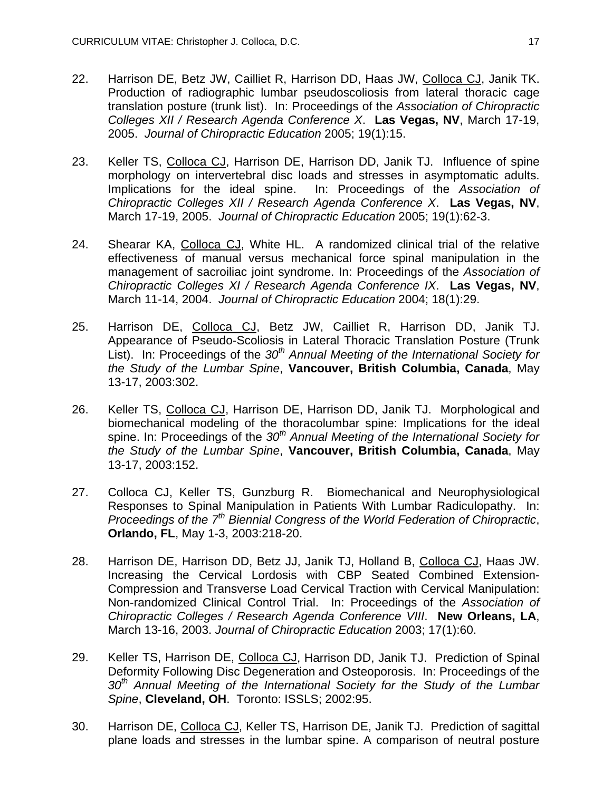- 22. Harrison DE, Betz JW, Cailliet R, Harrison DD, Haas JW, Colloca CJ, Janik TK. Production of radiographic lumbar pseudoscoliosis from lateral thoracic cage translation posture (trunk list). In: Proceedings of the *Association of Chiropractic Colleges XII / Research Agenda Conference X*. **Las Vegas, NV**, March 17-19, 2005. *Journal of Chiropractic Education* 2005; 19(1):15.
- 23. Keller TS, Colloca CJ, Harrison DE, Harrison DD, Janik TJ. Influence of spine morphology on intervertebral disc loads and stresses in asymptomatic adults. Implications for the ideal spine. In: Proceedings of the *Association of Chiropractic Colleges XII / Research Agenda Conference X*. **Las Vegas, NV**, March 17-19, 2005. *Journal of Chiropractic Education* 2005; 19(1):62-3.
- 24. Shearar KA, Colloca CJ, White HL. A randomized clinical trial of the relative effectiveness of manual versus mechanical force spinal manipulation in the management of sacroiliac joint syndrome. In: Proceedings of the *Association of Chiropractic Colleges XI / Research Agenda Conference IX*. **Las Vegas, NV**, March 11-14, 2004. *Journal of Chiropractic Education* 2004; 18(1):29.
- 25. Harrison DE, Colloca CJ, Betz JW, Cailliet R, Harrison DD, Janik TJ. Appearance of Pseudo-Scoliosis in Lateral Thoracic Translation Posture (Trunk List). In: Proceedings of the 30<sup>th</sup> Annual Meeting of the International Society for *the Study of the Lumbar Spine*, **Vancouver, British Columbia, Canada**, May 13-17, 2003:302.
- 26. Keller TS, Colloca CJ, Harrison DE, Harrison DD, Janik TJ. Morphological and biomechanical modeling of the thoracolumbar spine: Implications for the ideal spine. In: Proceedings of the 30<sup>th</sup> Annual Meeting of the International Society for *the Study of the Lumbar Spine*, **Vancouver, British Columbia, Canada**, May 13-17, 2003:152.
- 27. Colloca CJ, Keller TS, Gunzburg R. Biomechanical and Neurophysiological Responses to Spinal Manipulation in Patients With Lumbar Radiculopathy. In: *Proceedings of the 7th Biennial Congress of the World Federation of Chiropractic*, **Orlando, FL**, May 1-3, 2003:218-20.
- 28. Harrison DE, Harrison DD, Betz JJ, Janik TJ, Holland B, Colloca CJ, Haas JW. Increasing the Cervical Lordosis with CBP Seated Combined Extension-Compression and Transverse Load Cervical Traction with Cervical Manipulation: Non-randomized Clinical Control Trial. In: Proceedings of the *Association of Chiropractic Colleges / Research Agenda Conference VIII*. **New Orleans, LA**, March 13-16, 2003. *Journal of Chiropractic Education* 2003; 17(1):60.
- 29. Keller TS, Harrison DE, Colloca CJ, Harrison DD, Janik TJ. Prediction of Spinal Deformity Following Disc Degeneration and Osteoporosis. In: Proceedings of the 30<sup>th</sup> Annual Meeting of the International Society for the Study of the Lumbar *Spine*, **Cleveland, OH**. Toronto: ISSLS; 2002:95.
- 30. Harrison DE, Colloca CJ, Keller TS, Harrison DE, Janik TJ. Prediction of sagittal plane loads and stresses in the lumbar spine. A comparison of neutral posture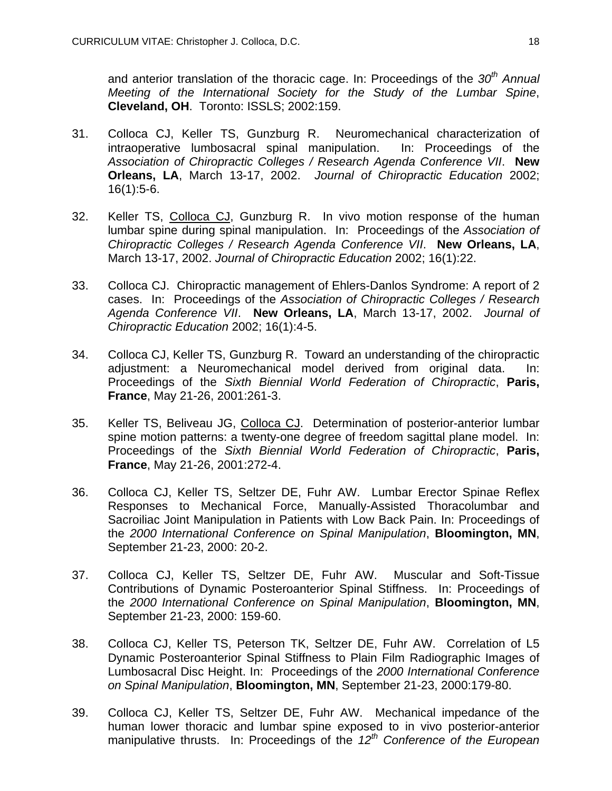and anterior translation of the thoracic cage. In: Proceedings of the *30th Annual Meeting of the International Society for the Study of the Lumbar Spine*, **Cleveland, OH**. Toronto: ISSLS; 2002:159.

- 31. Colloca CJ, Keller TS, Gunzburg R. Neuromechanical characterization of intraoperative lumbosacral spinal manipulation. In: Proceedings of the *Association of Chiropractic Colleges / Research Agenda Conference VII*. **New Orleans, LA**, March 13-17, 2002. *Journal of Chiropractic Education* 2002; 16(1):5-6.
- 32. Keller TS, Colloca CJ, Gunzburg R. In vivo motion response of the human lumbar spine during spinal manipulation. In: Proceedings of the *Association of Chiropractic Colleges / Research Agenda Conference VII*. **New Orleans, LA**, March 13-17, 2002. *Journal of Chiropractic Education* 2002; 16(1):22.
- 33. Colloca CJ. Chiropractic management of Ehlers-Danlos Syndrome: A report of 2 cases. In: Proceedings of the *Association of Chiropractic Colleges / Research Agenda Conference VII*. **New Orleans, LA**, March 13-17, 2002. *Journal of Chiropractic Education* 2002; 16(1):4-5.
- 34. Colloca CJ, Keller TS, Gunzburg R. Toward an understanding of the chiropractic adjustment: a Neuromechanical model derived from original data. In: Proceedings of the *Sixth Biennial World Federation of Chiropractic*, **Paris, France**, May 21-26, 2001:261-3.
- 35. Keller TS, Beliveau JG, Colloca CJ. Determination of posterior-anterior lumbar spine motion patterns: a twenty-one degree of freedom sagittal plane model. In: Proceedings of the *Sixth Biennial World Federation of Chiropractic*, **Paris, France**, May 21-26, 2001:272-4.
- 36. Colloca CJ, Keller TS, Seltzer DE, Fuhr AW. Lumbar Erector Spinae Reflex Responses to Mechanical Force, Manually-Assisted Thoracolumbar and Sacroiliac Joint Manipulation in Patients with Low Back Pain. In: Proceedings of the *2000 International Conference on Spinal Manipulation*, **Bloomington, MN**, September 21-23, 2000: 20-2.
- 37. Colloca CJ, Keller TS, Seltzer DE, Fuhr AW. Muscular and Soft-Tissue Contributions of Dynamic Posteroanterior Spinal Stiffness. In: Proceedings of the *2000 International Conference on Spinal Manipulation*, **Bloomington, MN**, September 21-23, 2000: 159-60.
- 38. Colloca CJ, Keller TS, Peterson TK, Seltzer DE, Fuhr AW. Correlation of L5 Dynamic Posteroanterior Spinal Stiffness to Plain Film Radiographic Images of Lumbosacral Disc Height. In: Proceedings of the *2000 International Conference on Spinal Manipulation*, **Bloomington, MN**, September 21-23, 2000:179-80.
- 39. Colloca CJ, Keller TS, Seltzer DE, Fuhr AW. Mechanical impedance of the human lower thoracic and lumbar spine exposed to in vivo posterior-anterior manipulative thrusts. In: Proceedings of the 12<sup>th</sup> Conference of the European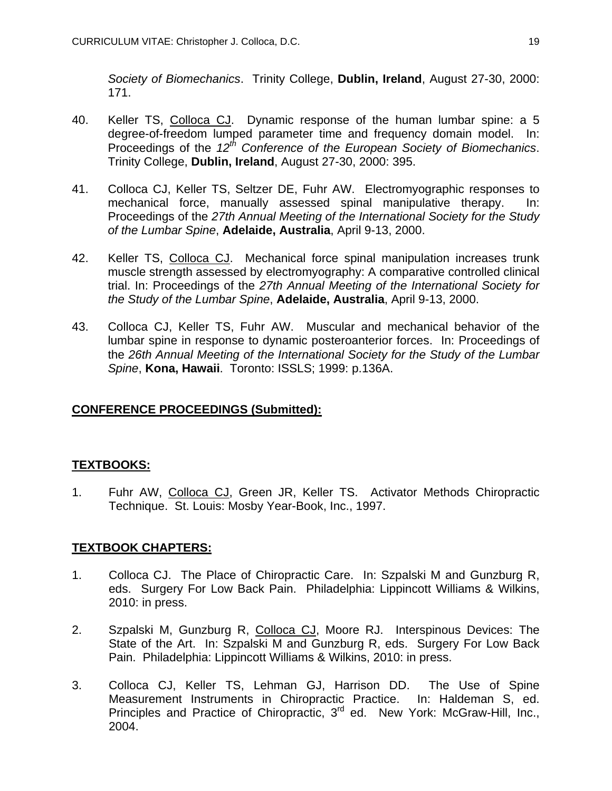*Society of Biomechanics*. Trinity College, **Dublin, Ireland**, August 27-30, 2000: 171.

- 40. Keller TS, Colloca CJ. Dynamic response of the human lumbar spine: a 5 degree-of-freedom lumped parameter time and frequency domain model. In: Proceedings of the *12th Conference of the European Society of Biomechanics*. Trinity College, **Dublin, Ireland**, August 27-30, 2000: 395.
- 41. Colloca CJ, Keller TS, Seltzer DE, Fuhr AW. Electromyographic responses to mechanical force, manually assessed spinal manipulative therapy. In: Proceedings of the *27th Annual Meeting of the International Society for the Study of the Lumbar Spine*, **Adelaide, Australia**, April 9-13, 2000.
- 42. Keller TS, Colloca CJ. Mechanical force spinal manipulation increases trunk muscle strength assessed by electromyography: A comparative controlled clinical trial. In: Proceedings of the *27th Annual Meeting of the International Society for the Study of the Lumbar Spine*, **Adelaide, Australia**, April 9-13, 2000.
- 43. Colloca CJ, Keller TS, Fuhr AW. Muscular and mechanical behavior of the lumbar spine in response to dynamic posteroanterior forces. In: Proceedings of the *26th Annual Meeting of the International Society for the Study of the Lumbar Spine*, **Kona, Hawaii**. Toronto: ISSLS; 1999: p.136A.

# **CONFERENCE PROCEEDINGS (Submitted):**

# **TEXTBOOKS:**

1. Fuhr AW, Colloca CJ, Green JR, Keller TS. Activator Methods Chiropractic Technique. St. Louis: Mosby Year-Book, Inc., 1997.

# **TEXTBOOK CHAPTERS:**

- 1. Colloca CJ. The Place of Chiropractic Care. In: Szpalski M and Gunzburg R, eds. Surgery For Low Back Pain. Philadelphia: Lippincott Williams & Wilkins, 2010: in press.
- 2. Szpalski M, Gunzburg R, Colloca CJ, Moore RJ. Interspinous Devices: The State of the Art. In: Szpalski M and Gunzburg R, eds. Surgery For Low Back Pain. Philadelphia: Lippincott Williams & Wilkins, 2010: in press.
- 3. Colloca CJ, Keller TS, Lehman GJ, Harrison DD. The Use of Spine Measurement Instruments in Chiropractic Practice. In: Haldeman S, ed. Principles and Practice of Chiropractic, 3<sup>rd</sup> ed. New York: McGraw-Hill, Inc., 2004.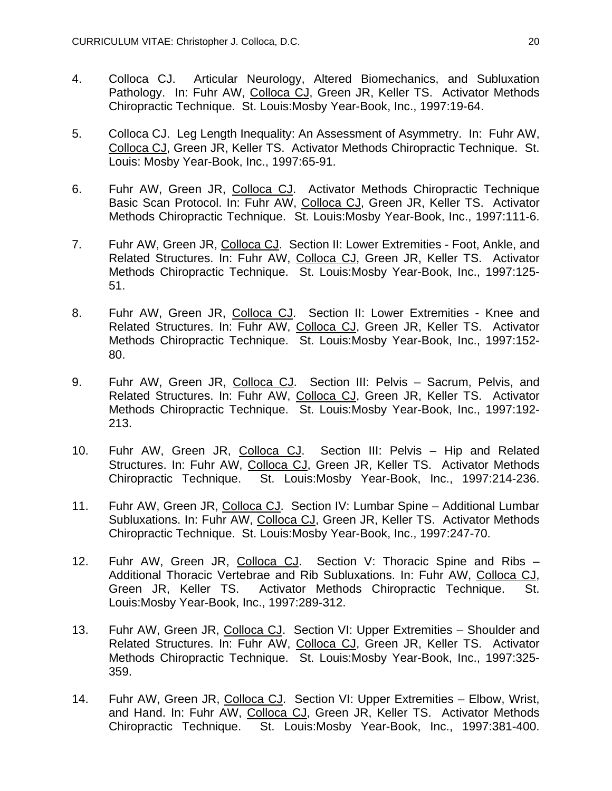- 4. Colloca CJ. Articular Neurology, Altered Biomechanics, and Subluxation Pathology. In: Fuhr AW, Colloca CJ, Green JR, Keller TS. Activator Methods Chiropractic Technique. St. Louis:Mosby Year-Book, Inc., 1997:19-64.
- 5. Colloca CJ. Leg Length Inequality: An Assessment of Asymmetry. In: Fuhr AW, Colloca CJ, Green JR, Keller TS. Activator Methods Chiropractic Technique. St. Louis: Mosby Year-Book, Inc., 1997:65-91.
- 6. Fuhr AW, Green JR, Colloca CJ. Activator Methods Chiropractic Technique Basic Scan Protocol. In: Fuhr AW, Colloca CJ, Green JR, Keller TS. Activator Methods Chiropractic Technique. St. Louis:Mosby Year-Book, Inc., 1997:111-6.
- 7. Fuhr AW, Green JR, Colloca CJ. Section II: Lower Extremities Foot, Ankle, and Related Structures. In: Fuhr AW, Colloca CJ, Green JR, Keller TS. Activator Methods Chiropractic Technique. St. Louis:Mosby Year-Book, Inc., 1997:125- 51.
- 8. Fuhr AW, Green JR, Colloca CJ. Section II: Lower Extremities Knee and Related Structures. In: Fuhr AW, Colloca CJ, Green JR, Keller TS. Activator Methods Chiropractic Technique. St. Louis:Mosby Year-Book, Inc., 1997:152- 80.
- 9. Fuhr AW, Green JR, Colloca CJ. Section III: Pelvis Sacrum, Pelvis, and Related Structures. In: Fuhr AW, Colloca CJ, Green JR, Keller TS. Activator Methods Chiropractic Technique. St. Louis:Mosby Year-Book, Inc., 1997:192- 213.
- 10. Fuhr AW, Green JR, Colloca CJ. Section III: Pelvis Hip and Related Structures. In: Fuhr AW, Colloca CJ, Green JR, Keller TS. Activator Methods Chiropractic Technique. St. Louis:Mosby Year-Book, Inc., 1997:214-236.
- 11. Fuhr AW, Green JR, Colloca CJ. Section IV: Lumbar Spine Additional Lumbar Subluxations. In: Fuhr AW, Colloca CJ, Green JR, Keller TS. Activator Methods Chiropractic Technique. St. Louis:Mosby Year-Book, Inc., 1997:247-70.
- 12. Fuhr AW, Green JR, Colloca CJ. Section V: Thoracic Spine and Ribs Additional Thoracic Vertebrae and Rib Subluxations. In: Fuhr AW, Colloca CJ, Green JR, Keller TS. Activator Methods Chiropractic Technique. St. Louis:Mosby Year-Book, Inc., 1997:289-312.
- 13. Fuhr AW, Green JR, Colloca CJ. Section VI: Upper Extremities Shoulder and Related Structures. In: Fuhr AW, Colloca CJ, Green JR, Keller TS. Activator Methods Chiropractic Technique. St. Louis:Mosby Year-Book, Inc., 1997:325- 359.
- 14. Fuhr AW, Green JR, Colloca CJ. Section VI: Upper Extremities Elbow, Wrist, and Hand. In: Fuhr AW, Colloca CJ, Green JR, Keller TS. Activator Methods Chiropractic Technique. St. Louis:Mosby Year-Book, Inc., 1997:381-400.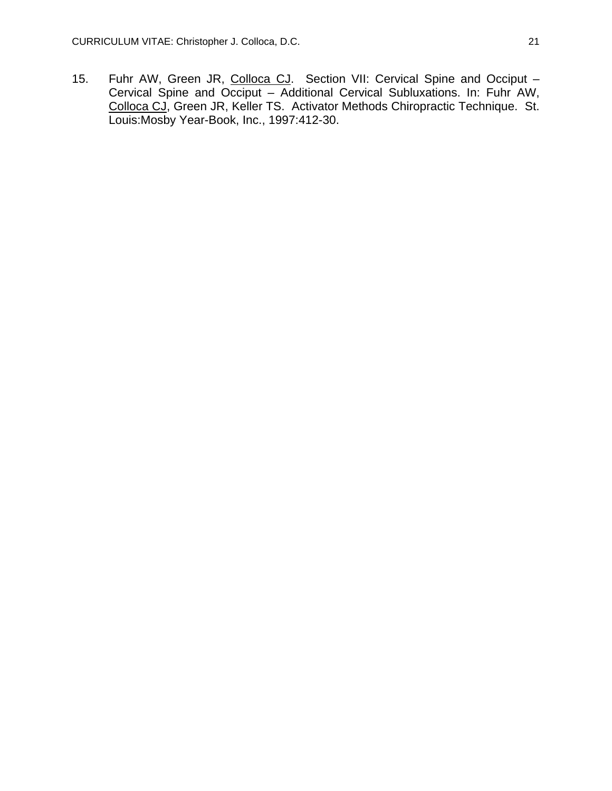15. Fuhr AW, Green JR, Colloca CJ. Section VII: Cervical Spine and Occiput -Cervical Spine and Occiput – Additional Cervical Subluxations. In: Fuhr AW, Colloca CJ, Green JR, Keller TS. Activator Methods Chiropractic Technique. St. Louis:Mosby Year-Book, Inc., 1997:412-30.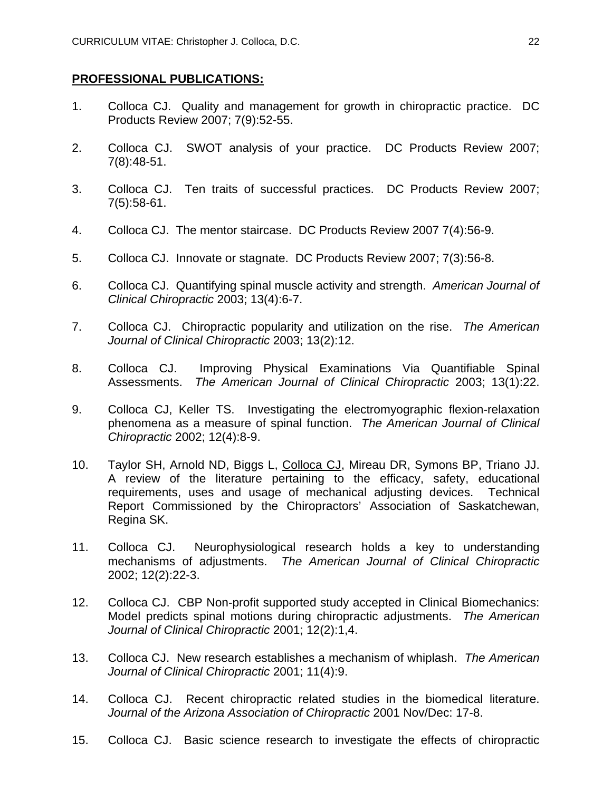### **PROFESSIONAL PUBLICATIONS:**

- 1. Colloca CJ. Quality and management for growth in chiropractic practice. DC Products Review 2007; 7(9):52-55.
- 2. Colloca CJ. SWOT analysis of your practice. DC Products Review 2007; 7(8):48-51.
- 3. Colloca CJ. Ten traits of successful practices. DC Products Review 2007; 7(5):58-61.
- 4. Colloca CJ. The mentor staircase. DC Products Review 2007 7(4):56-9.
- 5. Colloca CJ. Innovate or stagnate. DC Products Review 2007; 7(3):56-8.
- 6. Colloca CJ. Quantifying spinal muscle activity and strength. *American Journal of Clinical Chiropractic* 2003; 13(4):6-7.
- 7. Colloca CJ. Chiropractic popularity and utilization on the rise. *The American Journal of Clinical Chiropractic* 2003; 13(2):12.
- 8. Colloca CJ. Improving Physical Examinations Via Quantifiable Spinal Assessments. *The American Journal of Clinical Chiropractic* 2003; 13(1):22.
- 9. Colloca CJ, Keller TS. Investigating the electromyographic flexion-relaxation phenomena as a measure of spinal function. *The American Journal of Clinical Chiropractic* 2002; 12(4):8-9.
- 10. Taylor SH, Arnold ND, Biggs L, Colloca CJ, Mireau DR, Symons BP, Triano JJ. A review of the literature pertaining to the efficacy, safety, educational requirements, uses and usage of mechanical adjusting devices. Technical Report Commissioned by the Chiropractors' Association of Saskatchewan, Regina SK.
- 11. Colloca CJ. Neurophysiological research holds a key to understanding mechanisms of adjustments. *The American Journal of Clinical Chiropractic* 2002; 12(2):22-3.
- 12. Colloca CJ. CBP Non-profit supported study accepted in Clinical Biomechanics: Model predicts spinal motions during chiropractic adjustments. *The American Journal of Clinical Chiropractic* 2001; 12(2):1,4.
- 13. Colloca CJ. New research establishes a mechanism of whiplash. *The American Journal of Clinical Chiropractic* 2001; 11(4):9.
- 14. Colloca CJ. Recent chiropractic related studies in the biomedical literature. *Journal of the Arizona Association of Chiropractic* 2001 Nov/Dec: 17-8.
- 15. Colloca CJ. Basic science research to investigate the effects of chiropractic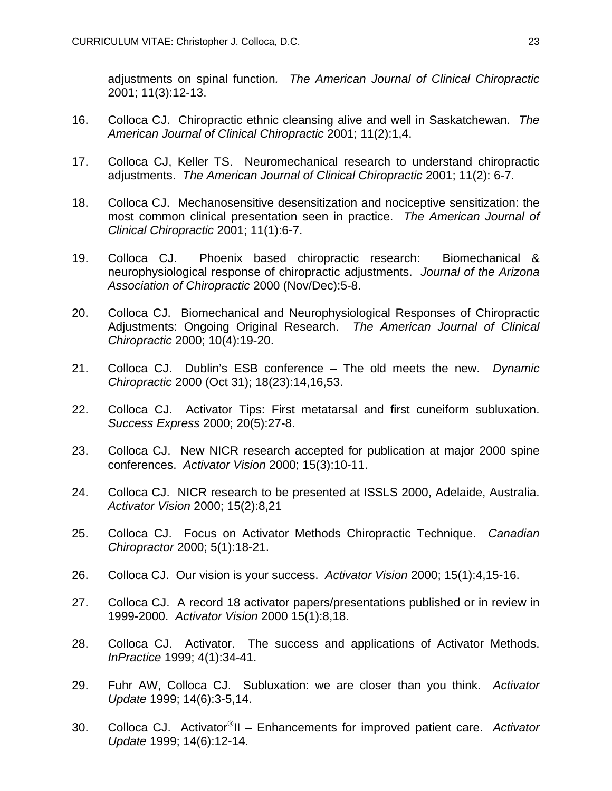adjustments on spinal function*. The American Journal of Clinical Chiropractic* 2001; 11(3):12-13.

- 16. Colloca CJ. Chiropractic ethnic cleansing alive and well in Saskatchewan*. The American Journal of Clinical Chiropractic* 2001; 11(2):1,4.
- 17. Colloca CJ, Keller TS. Neuromechanical research to understand chiropractic adjustments. *The American Journal of Clinical Chiropractic* 2001; 11(2): 6-7.
- 18. Colloca CJ. Mechanosensitive desensitization and nociceptive sensitization: the most common clinical presentation seen in practice. *The American Journal of Clinical Chiropractic* 2001; 11(1):6-7.
- 19. Colloca CJ. Phoenix based chiropractic research: Biomechanical & neurophysiological response of chiropractic adjustments. *Journal of the Arizona Association of Chiropractic* 2000 (Nov/Dec):5-8.
- 20. Colloca CJ. Biomechanical and Neurophysiological Responses of Chiropractic Adjustments: Ongoing Original Research. *The American Journal of Clinical Chiropractic* 2000; 10(4):19-20.
- 21. Colloca CJ. Dublin's ESB conference The old meets the new. *Dynamic Chiropractic* 2000 (Oct 31); 18(23):14,16,53.
- 22. Colloca CJ. Activator Tips: First metatarsal and first cuneiform subluxation. *Success Express* 2000; 20(5):27-8.
- 23. Colloca CJ. New NICR research accepted for publication at major 2000 spine conferences. *Activator Vision* 2000; 15(3):10-11.
- 24. Colloca CJ. NICR research to be presented at ISSLS 2000, Adelaide, Australia. *Activator Vision* 2000; 15(2):8,21
- 25. Colloca CJ. Focus on Activator Methods Chiropractic Technique. *Canadian Chiropractor* 2000; 5(1):18-21.
- 26. Colloca CJ. Our vision is your success. *Activator Vision* 2000; 15(1):4,15-16.
- 27. Colloca CJ. A record 18 activator papers/presentations published or in review in 1999-2000. *Activator Vision* 2000 15(1):8,18.
- 28. Colloca CJ. Activator. The success and applications of Activator Methods. *InPractice* 1999; 4(1):34-41.
- 29. Fuhr AW, Colloca CJ. Subluxation: we are closer than you think. *Activator Update* 1999; 14(6):3-5,14.
- 30. Colloca CJ. Activator<sup>®</sup>II Enhancements for improved patient care. Activator *Update* 1999; 14(6):12-14.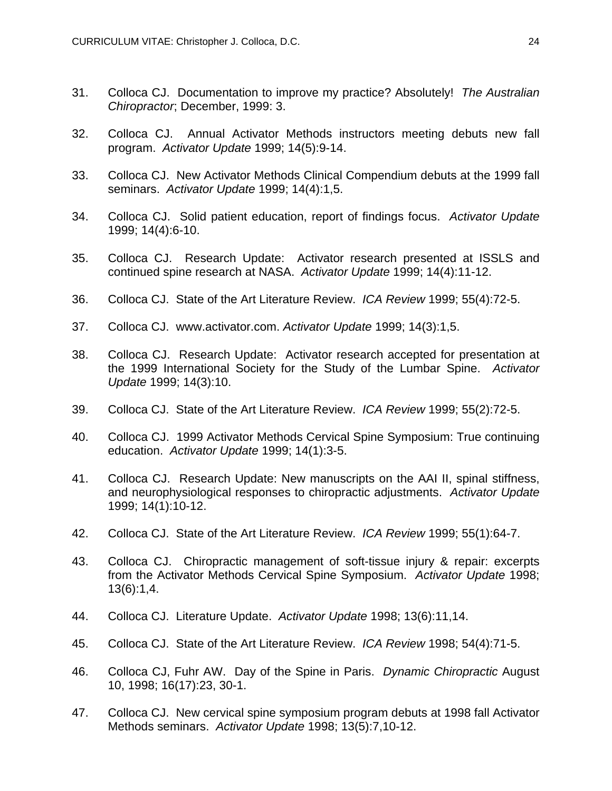- 31. Colloca CJ. Documentation to improve my practice? Absolutely! *The Australian Chiropractor*; December, 1999: 3.
- 32. Colloca CJ. Annual Activator Methods instructors meeting debuts new fall program. *Activator Update* 1999; 14(5):9-14.
- 33. Colloca CJ. New Activator Methods Clinical Compendium debuts at the 1999 fall seminars. *Activator Update* 1999; 14(4):1,5.
- 34. Colloca CJ. Solid patient education, report of findings focus. *Activator Update* 1999; 14(4):6-10.
- 35. Colloca CJ. Research Update: Activator research presented at ISSLS and continued spine research at NASA. *Activator Update* 1999; 14(4):11-12.
- 36. Colloca CJ. State of the Art Literature Review. *ICA Review* 1999; 55(4):72-5.
- 37. Colloca CJ. www.activator.com. *Activator Update* 1999; 14(3):1,5.
- 38. Colloca CJ. Research Update: Activator research accepted for presentation at the 1999 International Society for the Study of the Lumbar Spine. *Activator Update* 1999; 14(3):10.
- 39. Colloca CJ. State of the Art Literature Review. *ICA Review* 1999; 55(2):72-5.
- 40. Colloca CJ. 1999 Activator Methods Cervical Spine Symposium: True continuing education. *Activator Update* 1999; 14(1):3-5.
- 41. Colloca CJ. Research Update: New manuscripts on the AAI II, spinal stiffness, and neurophysiological responses to chiropractic adjustments. *Activator Update* 1999; 14(1):10-12.
- 42. Colloca CJ. State of the Art Literature Review. *ICA Review* 1999; 55(1):64-7.
- 43. Colloca CJ. Chiropractic management of soft-tissue injury & repair: excerpts from the Activator Methods Cervical Spine Symposium. *Activator Update* 1998; 13(6):1,4.
- 44. Colloca CJ. Literature Update. *Activator Update* 1998; 13(6):11,14.
- 45. Colloca CJ. State of the Art Literature Review. *ICA Review* 1998; 54(4):71-5.
- 46. Colloca CJ, Fuhr AW. Day of the Spine in Paris. *Dynamic Chiropractic* August 10, 1998; 16(17):23, 30-1.
- 47. Colloca CJ. New cervical spine symposium program debuts at 1998 fall Activator Methods seminars. *Activator Update* 1998; 13(5):7,10-12.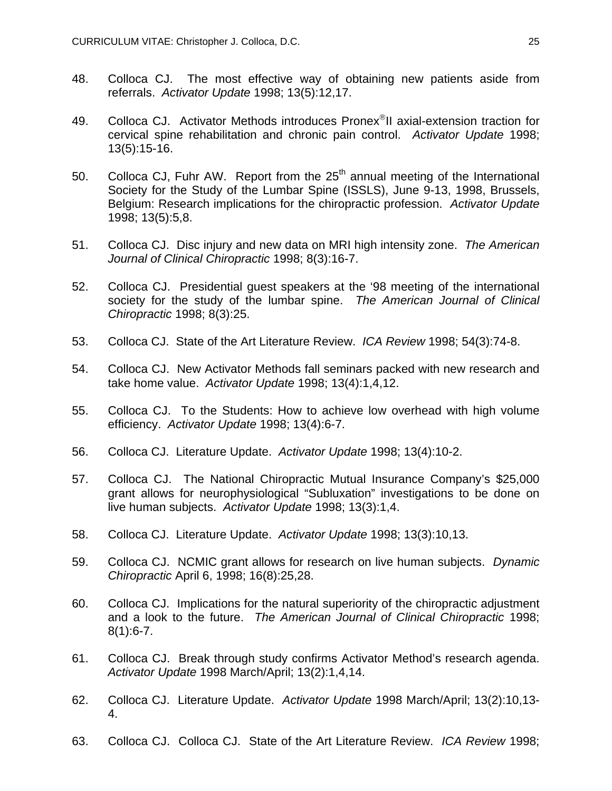- 48. Colloca CJ. The most effective way of obtaining new patients aside from referrals. *Activator Update* 1998; 13(5):12,17.
- 49. Colloca CJ. Activator Methods introduces Pronex<sup>®</sup>II axial-extension traction for cervical spine rehabilitation and chronic pain control. *Activator Update* 1998; 13(5):15-16.
- 50. Colloca CJ, Fuhr AW. Report from the  $25<sup>th</sup>$  annual meeting of the International Society for the Study of the Lumbar Spine (ISSLS), June 9-13, 1998, Brussels, Belgium: Research implications for the chiropractic profession. *Activator Update* 1998; 13(5):5,8.
- 51. Colloca CJ. Disc injury and new data on MRI high intensity zone. *The American Journal of Clinical Chiropractic* 1998; 8(3):16-7.
- 52. Colloca CJ. Presidential guest speakers at the '98 meeting of the international society for the study of the lumbar spine. *The American Journal of Clinical Chiropractic* 1998; 8(3):25.
- 53. Colloca CJ. State of the Art Literature Review. *ICA Review* 1998; 54(3):74-8.
- 54. Colloca CJ. New Activator Methods fall seminars packed with new research and take home value. *Activator Update* 1998; 13(4):1,4,12.
- 55. Colloca CJ. To the Students: How to achieve low overhead with high volume efficiency. *Activator Update* 1998; 13(4):6-7.
- 56. Colloca CJ. Literature Update. *Activator Update* 1998; 13(4):10-2.
- 57. Colloca CJ. The National Chiropractic Mutual Insurance Company's \$25,000 grant allows for neurophysiological "Subluxation" investigations to be done on live human subjects. *Activator Update* 1998; 13(3):1,4.
- 58. Colloca CJ. Literature Update. *Activator Update* 1998; 13(3):10,13.
- 59. Colloca CJ. NCMIC grant allows for research on live human subjects. *Dynamic Chiropractic* April 6, 1998; 16(8):25,28.
- 60. Colloca CJ. Implications for the natural superiority of the chiropractic adjustment and a look to the future. *The American Journal of Clinical Chiropractic* 1998;  $8(1):6-7.$
- 61. Colloca CJ. Break through study confirms Activator Method's research agenda. *Activator Update* 1998 March/April; 13(2):1,4,14.
- 62. Colloca CJ. Literature Update. *Activator Update* 1998 March/April; 13(2):10,13- 4.
- 63. Colloca CJ. Colloca CJ. State of the Art Literature Review. *ICA Review* 1998;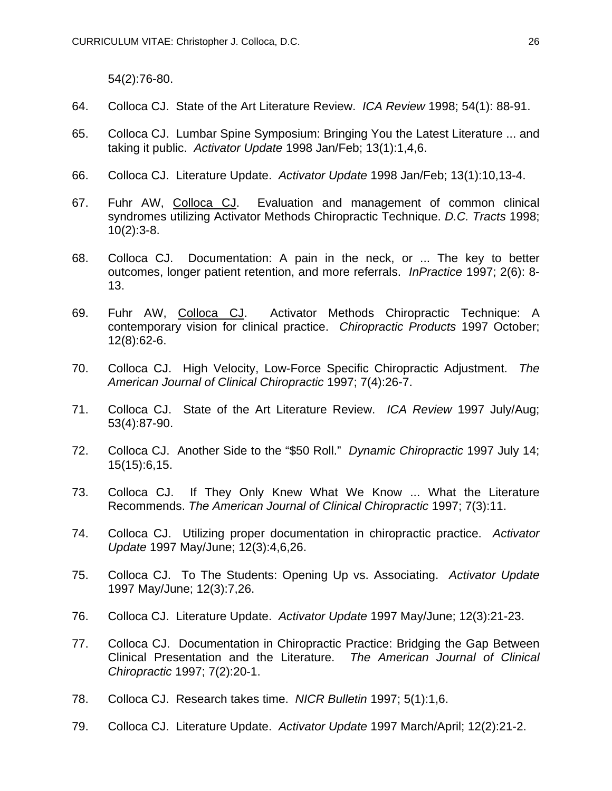54(2):76-80.

- 64. Colloca CJ. State of the Art Literature Review. *ICA Review* 1998; 54(1): 88-91.
- 65. Colloca CJ. Lumbar Spine Symposium: Bringing You the Latest Literature ... and taking it public. *Activator Update* 1998 Jan/Feb; 13(1):1,4,6.
- 66. Colloca CJ. Literature Update. *Activator Update* 1998 Jan/Feb; 13(1):10,13-4.
- 67. Fuhr AW, Colloca CJ. Evaluation and management of common clinical syndromes utilizing Activator Methods Chiropractic Technique. *D.C. Tracts* 1998;  $10(2):3-8.$
- 68. Colloca CJ. Documentation: A pain in the neck, or ... The key to better outcomes, longer patient retention, and more referrals. *InPractice* 1997; 2(6): 8- 13.
- 69. Fuhr AW, Colloca CJ. Activator Methods Chiropractic Technique: A contemporary vision for clinical practice. *Chiropractic Products* 1997 October; 12(8):62-6.
- 70. Colloca CJ. High Velocity, Low-Force Specific Chiropractic Adjustment. *The American Journal of Clinical Chiropractic* 1997; 7(4):26-7.
- 71. Colloca CJ. State of the Art Literature Review. *ICA Review* 1997 July/Aug; 53(4):87-90.
- 72. Colloca CJ. Another Side to the "\$50 Roll." *Dynamic Chiropractic* 1997 July 14; 15(15):6,15.
- 73. Colloca CJ. If They Only Knew What We Know ... What the Literature Recommends. *The American Journal of Clinical Chiropractic* 1997; 7(3):11.
- 74. Colloca CJ. Utilizing proper documentation in chiropractic practice. *Activator Update* 1997 May/June; 12(3):4,6,26.
- 75. Colloca CJ. To The Students: Opening Up vs. Associating. *Activator Update* 1997 May/June; 12(3):7,26.
- 76. Colloca CJ. Literature Update. *Activator Update* 1997 May/June; 12(3):21-23.
- 77. Colloca CJ. Documentation in Chiropractic Practice: Bridging the Gap Between Clinical Presentation and the Literature. *The American Journal of Clinical Chiropractic* 1997; 7(2):20-1.
- 78. Colloca CJ. Research takes time. *NICR Bulletin* 1997; 5(1):1,6.
- 79. Colloca CJ. Literature Update. *Activator Update* 1997 March/April; 12(2):21-2.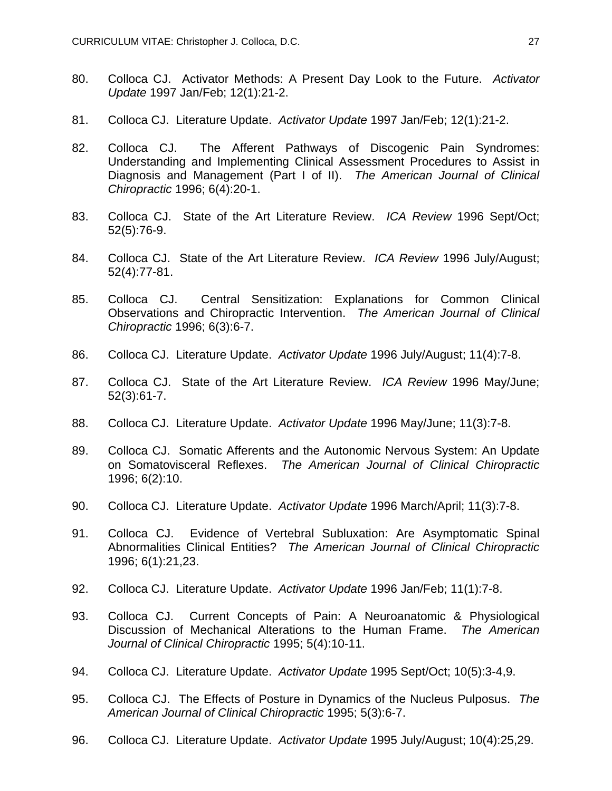- 80. Colloca CJ. Activator Methods: A Present Day Look to the Future. *Activator Update* 1997 Jan/Feb; 12(1):21-2.
- 81. Colloca CJ. Literature Update. *Activator Update* 1997 Jan/Feb; 12(1):21-2.
- 82. Colloca CJ. The Afferent Pathways of Discogenic Pain Syndromes: Understanding and Implementing Clinical Assessment Procedures to Assist in Diagnosis and Management (Part I of II). *The American Journal of Clinical Chiropractic* 1996; 6(4):20-1.
- 83. Colloca CJ. State of the Art Literature Review. *ICA Review* 1996 Sept/Oct; 52(5):76-9.
- 84. Colloca CJ. State of the Art Literature Review. *ICA Review* 1996 July/August; 52(4):77-81.
- 85. Colloca CJ. Central Sensitization: Explanations for Common Clinical Observations and Chiropractic Intervention. *The American Journal of Clinical Chiropractic* 1996; 6(3):6-7.
- 86. Colloca CJ. Literature Update. *Activator Update* 1996 July/August; 11(4):7-8.
- 87. Colloca CJ. State of the Art Literature Review. *ICA Review* 1996 May/June; 52(3):61-7.
- 88. Colloca CJ. Literature Update. *Activator Update* 1996 May/June; 11(3):7-8.
- 89. Colloca CJ. Somatic Afferents and the Autonomic Nervous System: An Update on Somatovisceral Reflexes. *The American Journal of Clinical Chiropractic* 1996; 6(2):10.
- 90. Colloca CJ. Literature Update. *Activator Update* 1996 March/April; 11(3):7-8.
- 91. Colloca CJ. Evidence of Vertebral Subluxation: Are Asymptomatic Spinal Abnormalities Clinical Entities? *The American Journal of Clinical Chiropractic* 1996; 6(1):21,23.
- 92. Colloca CJ. Literature Update. *Activator Update* 1996 Jan/Feb; 11(1):7-8.
- 93. Colloca CJ. Current Concepts of Pain: A Neuroanatomic & Physiological Discussion of Mechanical Alterations to the Human Frame. *The American Journal of Clinical Chiropractic* 1995; 5(4):10-11.
- 94. Colloca CJ. Literature Update. *Activator Update* 1995 Sept/Oct; 10(5):3-4,9.
- 95. Colloca CJ. The Effects of Posture in Dynamics of the Nucleus Pulposus. *The American Journal of Clinical Chiropractic* 1995; 5(3):6-7.
- 96. Colloca CJ. Literature Update. *Activator Update* 1995 July/August; 10(4):25,29.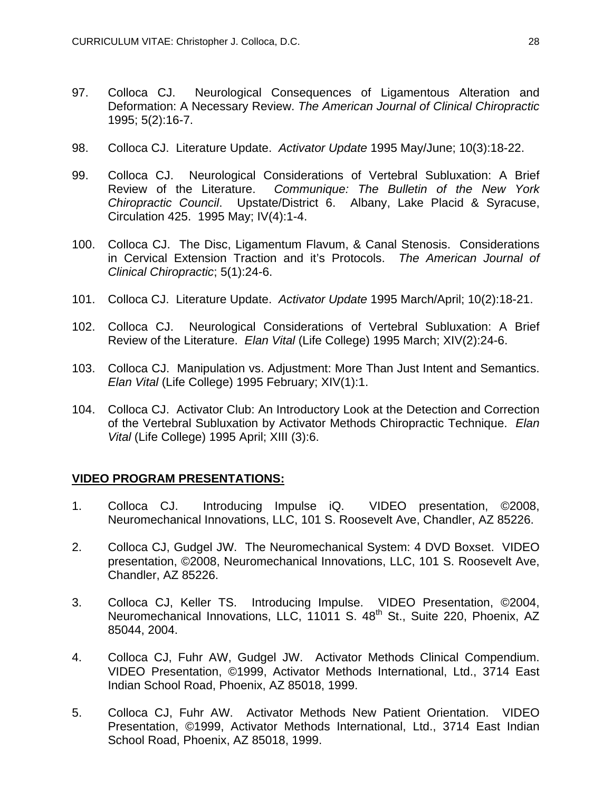- 97. Colloca CJ. Neurological Consequences of Ligamentous Alteration and Deformation: A Necessary Review. *The American Journal of Clinical Chiropractic* 1995; 5(2):16-7.
- 98. Colloca CJ. Literature Update. *Activator Update* 1995 May/June; 10(3):18-22.
- 99. Colloca CJ. Neurological Considerations of Vertebral Subluxation: A Brief Review of the Literature. *Communique: The Bulletin of the New York Chiropractic Council*. Upstate/District 6. Albany, Lake Placid & Syracuse, Circulation 425. 1995 May; IV(4):1-4.
- 100. Colloca CJ. The Disc, Ligamentum Flavum, & Canal Stenosis. Considerations in Cervical Extension Traction and it's Protocols. *The American Journal of Clinical Chiropractic*; 5(1):24-6.
- 101. Colloca CJ. Literature Update. *Activator Update* 1995 March/April; 10(2):18-21.
- 102. Colloca CJ. Neurological Considerations of Vertebral Subluxation: A Brief Review of the Literature. *Elan Vital* (Life College) 1995 March; XIV(2):24-6.
- 103. Colloca CJ. Manipulation vs. Adjustment: More Than Just Intent and Semantics. *Elan Vital* (Life College) 1995 February; XIV(1):1.
- 104. Colloca CJ. Activator Club: An Introductory Look at the Detection and Correction of the Vertebral Subluxation by Activator Methods Chiropractic Technique. *Elan Vital* (Life College) 1995 April; XIII (3):6.

## **VIDEO PROGRAM PRESENTATIONS:**

- 1. Colloca CJ. Introducing Impulse iQ. VIDEO presentation, ©2008, Neuromechanical Innovations, LLC, 101 S. Roosevelt Ave, Chandler, AZ 85226.
- 2. Colloca CJ, Gudgel JW. The Neuromechanical System: 4 DVD Boxset. VIDEO presentation, ©2008, Neuromechanical Innovations, LLC, 101 S. Roosevelt Ave, Chandler, AZ 85226.
- 3. Colloca CJ, Keller TS. Introducing Impulse. VIDEO Presentation, ©2004, Neuromechanical Innovations, LLC, 11011 S. 48<sup>th</sup> St., Suite 220, Phoenix, AZ 85044, 2004.
- 4. Colloca CJ, Fuhr AW, Gudgel JW. Activator Methods Clinical Compendium. VIDEO Presentation, ©1999, Activator Methods International, Ltd., 3714 East Indian School Road, Phoenix, AZ 85018, 1999.
- 5. Colloca CJ, Fuhr AW. Activator Methods New Patient Orientation. VIDEO Presentation, ©1999, Activator Methods International, Ltd., 3714 East Indian School Road, Phoenix, AZ 85018, 1999.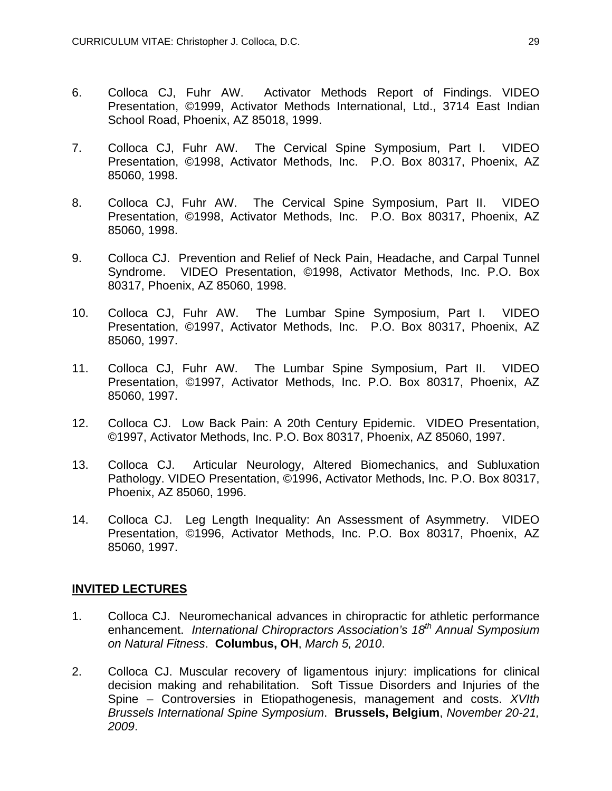- 6. Colloca CJ, Fuhr AW. Activator Methods Report of Findings. VIDEO Presentation, ©1999, Activator Methods International, Ltd., 3714 East Indian School Road, Phoenix, AZ 85018, 1999.
- 7. Colloca CJ, Fuhr AW. The Cervical Spine Symposium, Part I. VIDEO Presentation, ©1998, Activator Methods, Inc. P.O. Box 80317, Phoenix, AZ 85060, 1998.
- 8. Colloca CJ, Fuhr AW. The Cervical Spine Symposium, Part II. VIDEO Presentation, ©1998, Activator Methods, Inc. P.O. Box 80317, Phoenix, AZ 85060, 1998.
- 9. Colloca CJ. Prevention and Relief of Neck Pain, Headache, and Carpal Tunnel Syndrome. VIDEO Presentation, ©1998, Activator Methods, Inc. P.O. Box 80317, Phoenix, AZ 85060, 1998.
- 10. Colloca CJ, Fuhr AW. The Lumbar Spine Symposium, Part I. VIDEO Presentation, ©1997, Activator Methods, Inc. P.O. Box 80317, Phoenix, AZ 85060, 1997.
- 11. Colloca CJ, Fuhr AW. The Lumbar Spine Symposium, Part II. VIDEO Presentation, ©1997, Activator Methods, Inc. P.O. Box 80317, Phoenix, AZ 85060, 1997.
- 12. Colloca CJ. Low Back Pain: A 20th Century Epidemic. VIDEO Presentation, ©1997, Activator Methods, Inc. P.O. Box 80317, Phoenix, AZ 85060, 1997.
- 13. Colloca CJ. Articular Neurology, Altered Biomechanics, and Subluxation Pathology. VIDEO Presentation, ©1996, Activator Methods, Inc. P.O. Box 80317, Phoenix, AZ 85060, 1996.
- 14. Colloca CJ. Leg Length Inequality: An Assessment of Asymmetry. VIDEO Presentation, ©1996, Activator Methods, Inc. P.O. Box 80317, Phoenix, AZ 85060, 1997.

# **INVITED LECTURES**

- 1. Colloca CJ. Neuromechanical advances in chiropractic for athletic performance enhancement. *International Chiropractors Association's 18th Annual Symposium on Natural Fitness*. **Columbus, OH**, *March 5, 2010*.
- 2. Colloca CJ. Muscular recovery of ligamentous injury: implications for clinical decision making and rehabilitation. Soft Tissue Disorders and Injuries of the Spine – Controversies in Etiopathogenesis, management and costs. *XVIth Brussels International Spine Symposium*. **Brussels, Belgium**, *November 20-21, 2009*.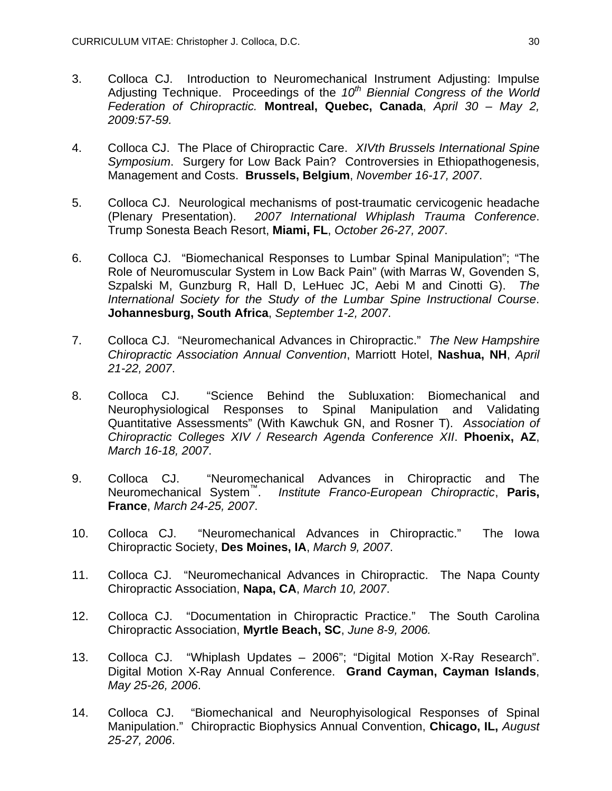- 3. Colloca CJ. Introduction to Neuromechanical Instrument Adjusting: Impulse Adjusting Technique. Proceedings of the 10<sup>th</sup> Biennial Congress of the World *Federation of Chiropractic.* **Montreal, Quebec, Canada**, *April 30 – May 2, 2009:57-59.*
- 4. Colloca CJ. The Place of Chiropractic Care. *XIVth Brussels International Spine Symposium*. Surgery for Low Back Pain? Controversies in Ethiopathogenesis, Management and Costs. **Brussels, Belgium**, *November 16-17, 2007*.
- 5. Colloca CJ. Neurological mechanisms of post-traumatic cervicogenic headache (Plenary Presentation). *2007 International Whiplash Trauma Conference*. Trump Sonesta Beach Resort, **Miami, FL**, *October 26-27, 2007*.
- 6. Colloca CJ. "Biomechanical Responses to Lumbar Spinal Manipulation"; "The Role of Neuromuscular System in Low Back Pain" (with Marras W, Govenden S, Szpalski M, Gunzburg R, Hall D, LeHuec JC, Aebi M and Cinotti G). *The International Society for the Study of the Lumbar Spine Instructional Course*. **Johannesburg, South Africa**, *September 1-2, 2007*.
- 7. Colloca CJ. "Neuromechanical Advances in Chiropractic." *The New Hampshire Chiropractic Association Annual Convention*, Marriott Hotel, **Nashua, NH**, *April 21-22, 2007*.
- 8. Colloca CJ. "Science Behind the Subluxation: Biomechanical and Neurophysiological Responses to Spinal Manipulation and Validating Quantitative Assessments" (With Kawchuk GN, and Rosner T). *Association of Chiropractic Colleges XIV / Research Agenda Conference XII*. **Phoenix, AZ**, *March 16-18, 2007*.
- 9. Colloca CJ. "Neuromechanical Advances in Chiropractic and The Neuromechanical System™. *Institute Franco-European Chiropractic*, **Paris, France**, *March 24-25, 2007*.
- 10. Colloca CJ. "Neuromechanical Advances in Chiropractic." The Iowa Chiropractic Society, **Des Moines, IA**, *March 9, 2007*.
- 11. Colloca CJ. "Neuromechanical Advances in Chiropractic. The Napa County Chiropractic Association, **Napa, CA**, *March 10, 2007*.
- 12. Colloca CJ. "Documentation in Chiropractic Practice." The South Carolina Chiropractic Association, **Myrtle Beach, SC**, *June 8-9, 2006.*
- 13. Colloca CJ. "Whiplash Updates 2006"; "Digital Motion X-Ray Research". Digital Motion X-Ray Annual Conference. **Grand Cayman, Cayman Islands**, *May 25-26, 2006*.
- 14. Colloca CJ. "Biomechanical and Neurophyisological Responses of Spinal Manipulation." Chiropractic Biophysics Annual Convention, **Chicago, IL,** *August 25-27, 2006*.